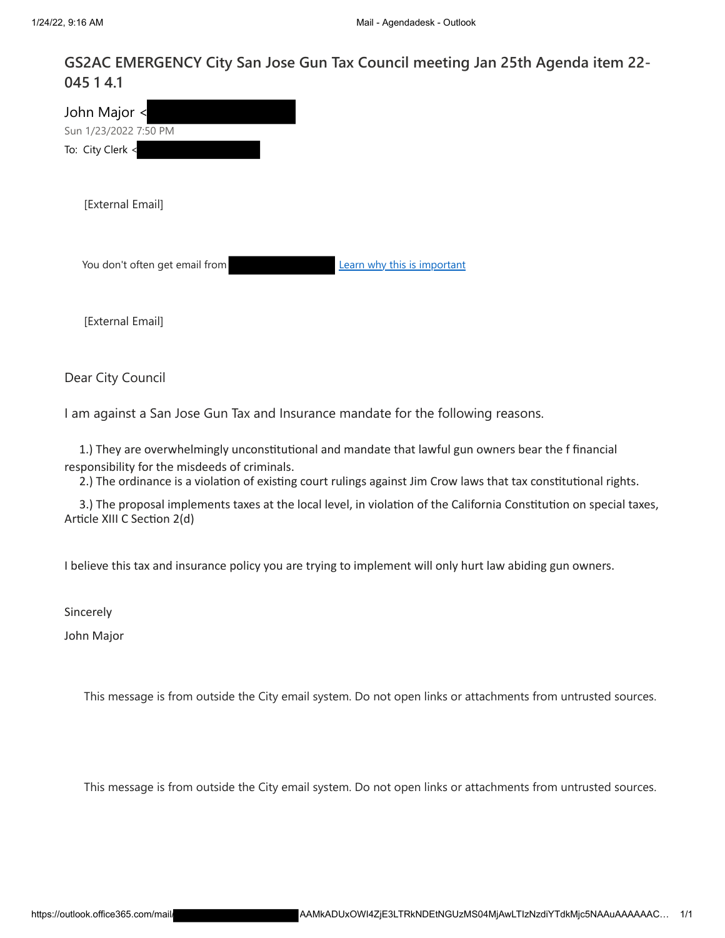## **GS2AC EMERGENCY City San Jose Gun Tax Council meeting Jan 25th Agenda item 22- 045 1 4.1**

| John Major <<br>Sun 1/23/2022 7:50 PM |                             |
|---------------------------------------|-----------------------------|
| To: City Clerk <                      |                             |
| [External Email]                      |                             |
| You don't often get email from        | Learn why this is important |
| [External Email]                      |                             |

Dear City Council

I am against a San Jose Gun Tax and Insurance mandate for the following reasons.

 1.) They are overwhelmingly unconstitutional and mandate that lawful gun owners bear the f financial responsibility for the misdeeds of criminals.

2.) The ordinance is a violation of existing court rulings against Jim Crow laws that tax constitutional rights.

3.) The proposal implements taxes at the local level, in violation of the California Constitution on special taxes, Article XIII C Section 2(d)

I believe this tax and insurance policy you are trying to implement will only hurt law abiding gun owners.

Sincerely

John Major

This message is from outside the City email system. Do not open links or attachments from untrusted sources.

This message is from outside the City email system. Do not open links or attachments from untrusted sources.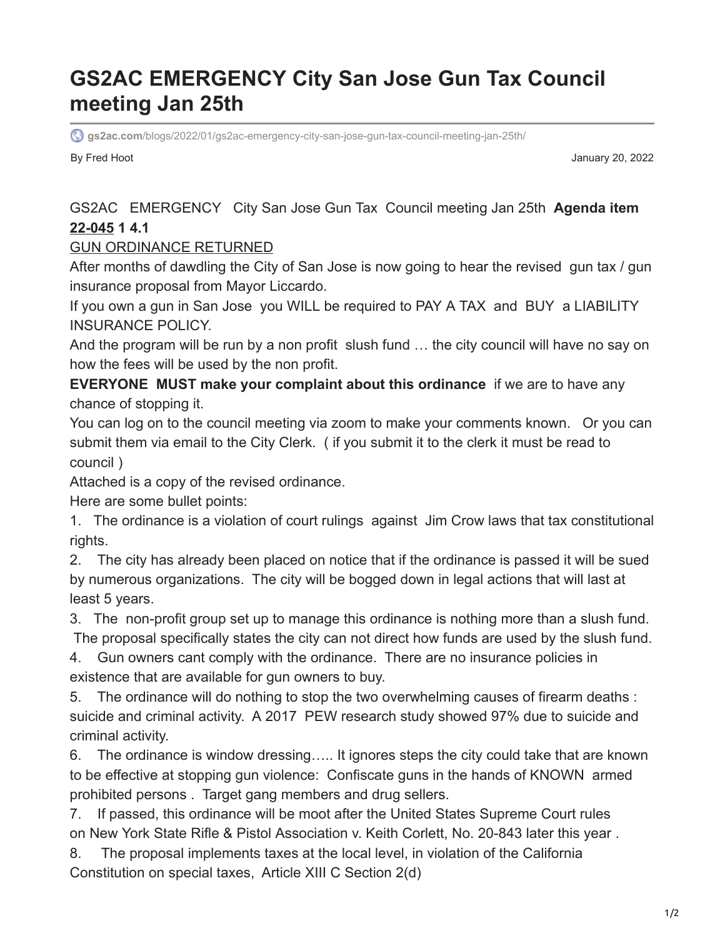# **GS2AC EMERGENCY City San Jose Gun Tax Council meeting Jan 25th**

**gs2ac.com**[/blogs/2022/01/gs2ac-emergency-city-san-jose-gun-tax-council-meeting-jan-25th/](https://gs2ac.com/blogs/2022/01/gs2ac-emergency-city-san-jose-gun-tax-council-meeting-jan-25th/)

By Fred Hoot January 20, 2022

# GS2AC EMERGENCY City San Jose Gun Tax Council meeting Jan 25th **Agenda item [22-045](https://sanjose.legistar.com/LegislationDetail.aspx?ID=5379736&GUID=8DECD401-25ED-4CAE-A973-50FBD2BE8365&Options=&Search=) 1 4.1**

# [GUN ORDINANCE RETURNED](https://gs2ac.com/blogs/wp-content/uploads/2022/01/GUN-ORDINANCE-RETURNED-b-.pdf)

After months of dawdling the City of San Jose is now going to hear the revised gun tax / gun insurance proposal from Mayor Liccardo.

If you own a gun in San Jose you WILL be required to PAY A TAX and BUY a LIABILITY INSURANCE POLICY.

And the program will be run by a non profit slush fund … the city council will have no say on how the fees will be used by the non profit.

**EVERYONE MUST make your complaint about this ordinance** if we are to have any chance of stopping it.

You can log on to the council meeting via zoom to make your comments known. Or you can submit them via email to the City Clerk. ( if you submit it to the clerk it must be read to council )

Attached is a copy of the revised ordinance.

Here are some bullet points:

1. The ordinance is a violation of court rulings against Jim Crow laws that tax constitutional rights.

2. The city has already been placed on notice that if the ordinance is passed it will be sued by numerous organizations. The city will be bogged down in legal actions that will last at least 5 years.

3. The non-profit group set up to manage this ordinance is nothing more than a slush fund. The proposal specifically states the city can not direct how funds are used by the slush fund.

4. Gun owners cant comply with the ordinance. There are no insurance policies in existence that are available for gun owners to buy.

5. The ordinance will do nothing to stop the two overwhelming causes of firearm deaths : suicide and criminal activity. A 2017 PEW research study showed 97% due to suicide and criminal activity.

6. The ordinance is window dressing….. It ignores steps the city could take that are known to be effective at stopping gun violence: Confiscate guns in the hands of KNOWN armed prohibited persons . Target gang members and drug sellers.

7. If passed, this ordinance will be moot after the United States Supreme Court rules on New York State Rifle & Pistol Association v. Keith Corlett, No. 20-843 later this year .

8. The proposal implements taxes at the local level, in violation of the California Constitution on special taxes, Article XIII C Section 2(d)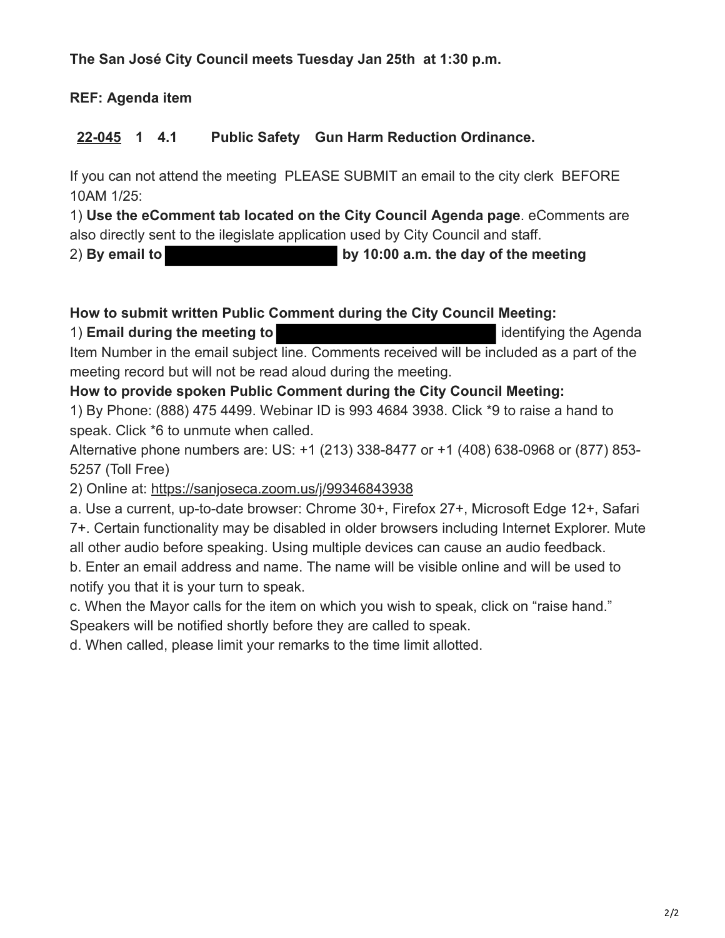**The San José City Council meets Tuesday Jan 25th at 1:30 p.m.** 

**REF: Agenda item** 

**[22-045](https://sanjose.legistar.com/LegislationDetail.aspx?ID=5379736&GUID=8DECD401-25ED-4CAE-A973-50FBD2BE8365&Options=&Search=) 1 4.1 Public Safety Gun Harm Reduction Ordinance.**

If you can not attend the meeting PLEASE SUBMIT an email to the city clerk BEFORE 10AM 1/25:

1) **Use the eComment tab located on the City Council Agenda page**. eComments are also directly sent to the ilegislate application used by City Council and staff.

2) **By email to by 10:00 a.m. the day of the meeting**

# **How to submit written Public Comment during the City Council Meeting:**

1) **Email during the meeting to** identifying the Agenda Item Number in the email subject line. Comments received will be included as a part of the meeting record but will not be read aloud during the meeting.

# **How to provide spoken Public Comment during the City Council Meeting:**

1) By Phone: (888) 475 4499. Webinar ID is 993 4684 3938. Click \*9 to raise a hand to speak. Click \*6 to unmute when called.

Alternative phone numbers are: US: +1 (213) 338-8477 or +1 (408) 638-0968 or (877) 853- 5257 (Toll Free)

2) Online at: <https://sanjoseca.zoom.us/j/99346843938>

a. Use a current, up-to-date browser: Chrome 30+, Firefox 27+, Microsoft Edge 12+, Safari 7+. Certain functionality may be disabled in older browsers including Internet Explorer. Mute all other audio before speaking. Using multiple devices can cause an audio feedback.

b. Enter an email address and name. The name will be visible online and will be used to notify you that it is your turn to speak.

c. When the Mayor calls for the item on which you wish to speak, click on "raise hand."

Speakers will be notified shortly before they are called to speak.

d. When called, please limit your remarks to the time limit allotted.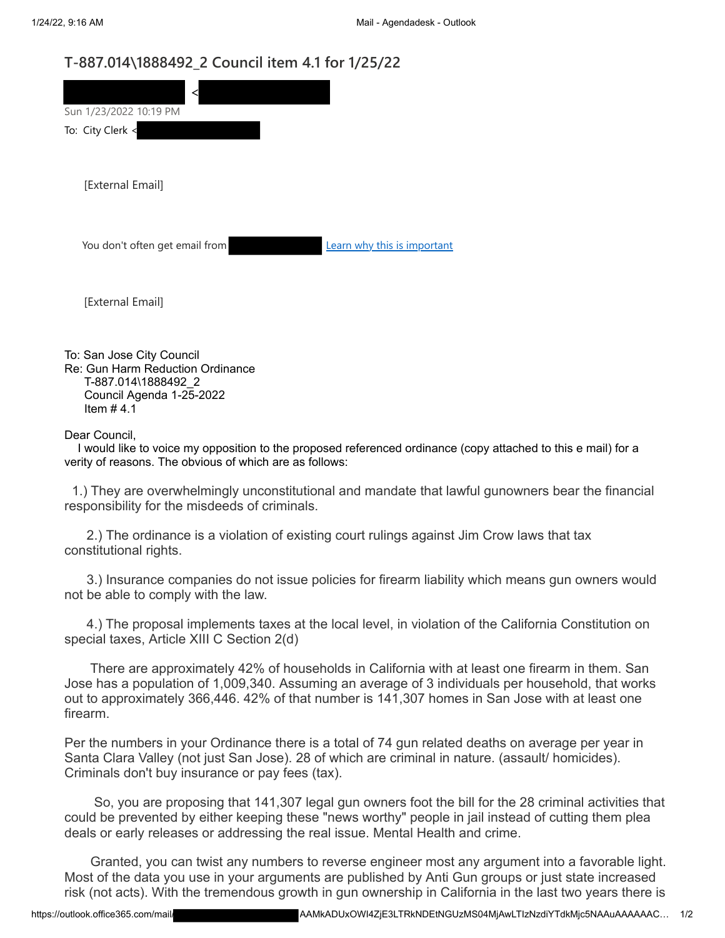## **T-887.014\1888492\_2 Council item 4.1 for 1/25/22**

| Sun 1/23/2022 10:19 PM         |                             |  |
|--------------------------------|-----------------------------|--|
| To: City Clerk <               |                             |  |
| [External Email]               |                             |  |
| You don't often get email from | Learn why this is important |  |
| [External Email]               |                             |  |
| $\sim$ $\sim$ $\sim$ $\sim$    |                             |  |

To: San Jose City Council Re: Gun Harm Reduction Ordinance T-887.014\1888492\_2 Council Agenda 1-25-2022 Item  $#4.1$ 

Dear Council,

 I would like to voice my opposition to the proposed referenced ordinance (copy attached to this e mail) for a verity of reasons. The obvious of which are as follows:

 1.) They are overwhelmingly unconstitutional and mandate that lawful gunowners bear the financial responsibility for the misdeeds of criminals.

2.) The ordinance is a violation of existing court rulings against Jim Crow laws that tax constitutional rights.

3.) Insurance companies do not issue policies for firearm liability which means gun owners would not be able to comply with the law.

4.) The proposal implements taxes at the local level, in violation of the California Constitution on special taxes, Article XIII C Section 2(d)

There are approximately 42% of households in California with at least one firearm in them. San Jose has a population of 1,009,340. Assuming an average of 3 individuals per household, that works out to approximately 366,446. 42% of that number is 141,307 homes in San Jose with at least one firearm.

Per the numbers in your Ordinance there is a total of 74 gun related deaths on average per year in Santa Clara Valley (not just San Jose). 28 of which are criminal in nature. (assault/ homicides). Criminals don't buy insurance or pay fees (tax).

 So, you are proposing that 141,307 legal gun owners foot the bill for the 28 criminal activities that could be prevented by either keeping these "news worthy" people in jail instead of cutting them plea deals or early releases or addressing the real issue. Mental Health and crime.

Granted, you can twist any numbers to reverse engineer most any argument into a favorable light. Most of the data you use in your arguments are published by Anti Gun groups or just state increased risk (not acts). With the tremendous growth in gun ownership in California in the last two years there is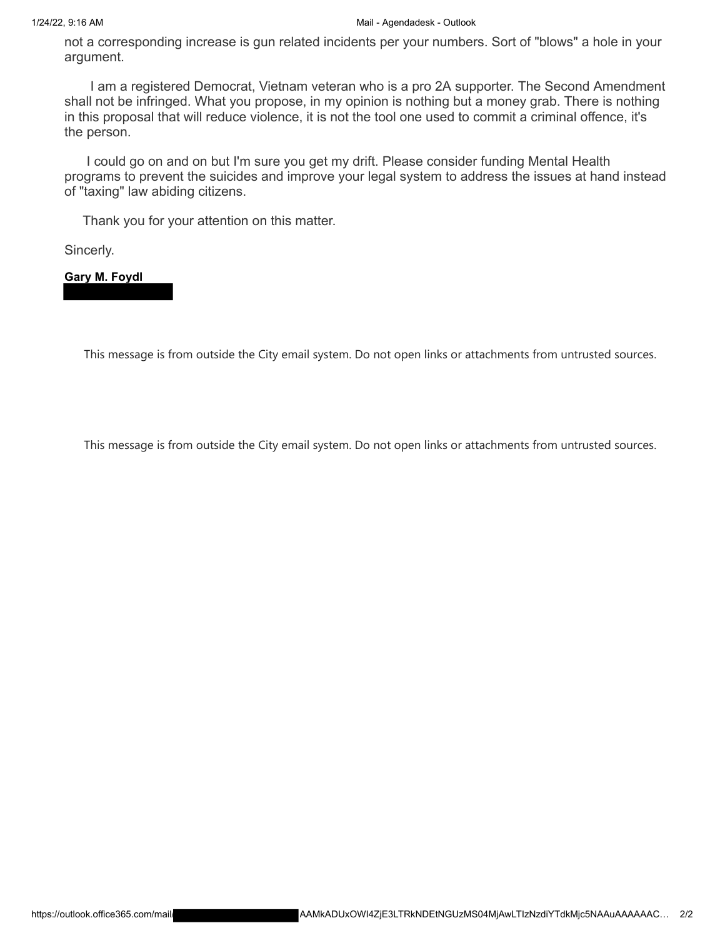not a corresponding increase is gun related incidents per your numbers. Sort of "blows" a hole in your argument.

I am a registered Democrat, Vietnam veteran who is a pro 2A supporter. The Second Amendment shall not be infringed. What you propose, in my opinion is nothing but a money grab. There is nothing in this proposal that will reduce violence, it is not the tool one used to commit a criminal offence, it's the person.

 I could go on and on but I'm sure you get my drift. Please consider funding Mental Health programs to prevent the suicides and improve your legal system to address the issues at hand instead of "taxing" law abiding citizens.

Thank you for your attention on this matter.

Sincerly.

**Gary M. Foydl**

This message is from outside the City email system. Do not open links or attachments from untrusted sources.

This message is from outside the City email system. Do not open links or attachments from untrusted sources.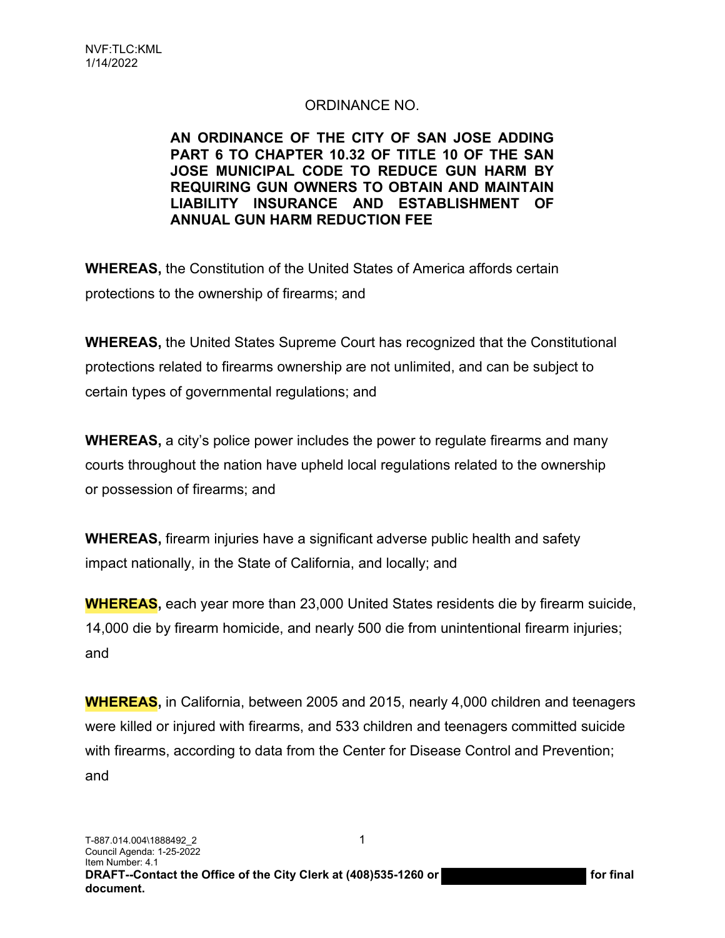# ORDINANCE NO.

#### **AN ORDINANCE OF THE CITY OF SAN JOSE ADDING PART 6 TO CHAPTER 10.32 OF TITLE 10 OF THE SAN JOSE MUNICIPAL CODE TO REDUCE GUN HARM BY REQUIRING GUN OWNERS TO OBTAIN AND MAINTAIN LIABILITY INSURANCE AND ESTABLISHMENT OF ANNUAL GUN HARM REDUCTION FEE**

**WHEREAS,** the Constitution of the United States of America affords certain protections to the ownership of firearms; and

**WHEREAS,** the United States Supreme Court has recognized that the Constitutional protections related to firearms ownership are not unlimited, and can be subject to certain types of governmental regulations; and

**WHEREAS,** a city's police power includes the power to regulate firearms and many courts throughout the nation have upheld local regulations related to the ownership or possession of firearms; and

**WHEREAS,** firearm injuries have a significant adverse public health and safety impact nationally, in the State of California, and locally; and

**WHEREAS,** each year more than 23,000 United States residents die by firearm suicide, 14,000 die by firearm homicide, and nearly 500 die from unintentional firearm injuries; and

**WHEREAS,** in California, between 2005 and 2015, nearly 4,000 children and teenagers were killed or injured with firearms, and 533 children and teenagers committed suicide with firearms, according to data from the Center for Disease Control and Prevention; and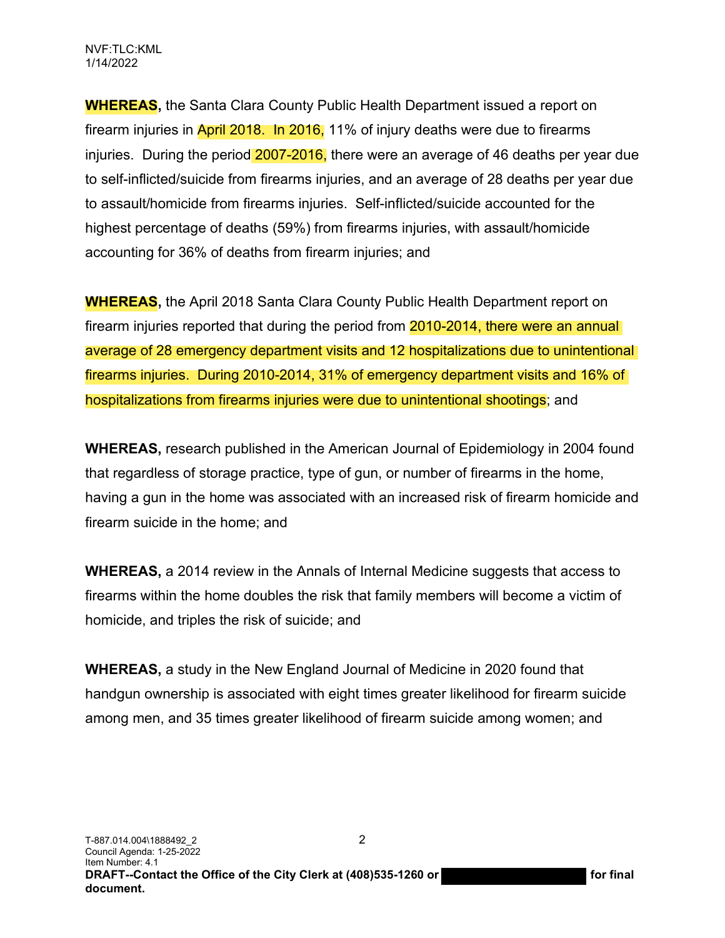**WHEREAS,** the Santa Clara County Public Health Department issued a report on firearm injuries in April 2018. In 2016, 11% of injury deaths were due to firearms injuries. During the period 2007-2016, there were an average of 46 deaths per year due to self-inflicted/suicide from firearms injuries, and an average of 28 deaths per year due to assault/homicide from firearms injuries. Self-inflicted/suicide accounted for the highest percentage of deaths (59%) from firearms injuries, with assault/homicide accounting for 36% of deaths from firearm injuries; and

**WHEREAS,** the April 2018 Santa Clara County Public Health Department report on firearm injuries reported that during the period from 2010-2014, there were an annual average of 28 emergency department visits and 12 hospitalizations due to unintentional firearms injuries. During 2010-2014, 31% of emergency department visits and 16% of hospitalizations from firearms injuries were due to unintentional shootings; and

**WHEREAS,** research published in the American Journal of Epidemiology in 2004 found that regardless of storage practice, type of gun, or number of firearms in the home, having a gun in the home was associated with an increased risk of firearm homicide and firearm suicide in the home; and

**WHEREAS,** a 2014 review in the Annals of Internal Medicine suggests that access to firearms within the home doubles the risk that family members will become a victim of homicide, and triples the risk of suicide; and

**WHEREAS,** a study in the New England Journal of Medicine in 2020 found that handgun ownership is associated with eight times greater likelihood for firearm suicide among men, and 35 times greater likelihood of firearm suicide among women; and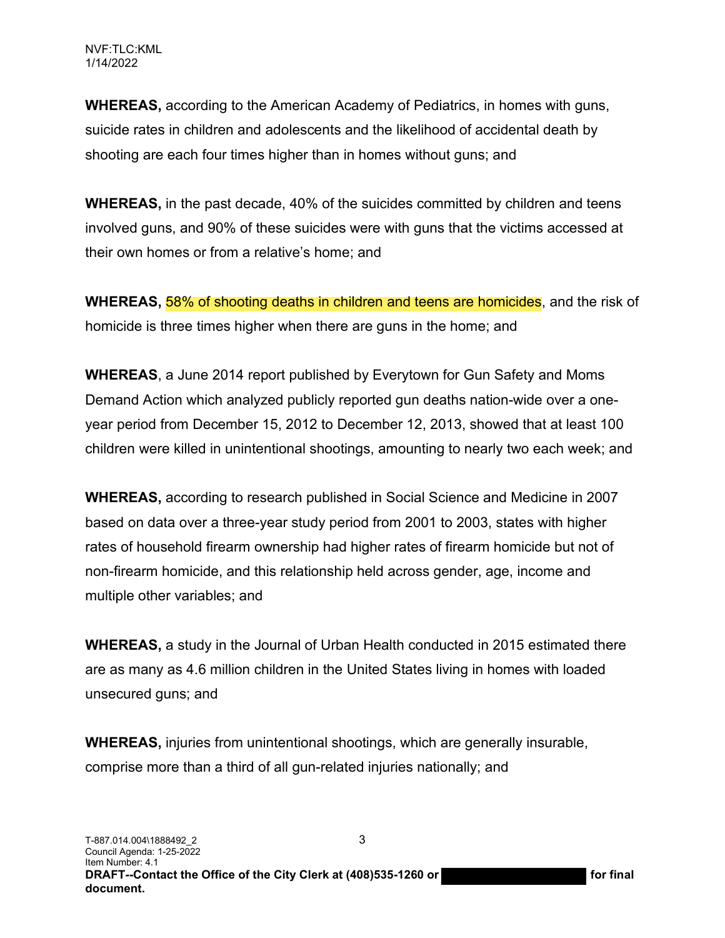**WHEREAS,** according to the American Academy of Pediatrics, in homes with guns, suicide rates in children and adolescents and the likelihood of accidental death by shooting are each four times higher than in homes without guns; and

**WHEREAS,** in the past decade, 40% of the suicides committed by children and teens involved guns, and 90% of these suicides were with guns that the victims accessed at their own homes or from a relative's home; and

**WHEREAS, 58% of shooting deaths in children and teens are homicides**, and the risk of homicide is three times higher when there are guns in the home; and

**WHEREAS**, a June 2014 report published by Everytown for Gun Safety and Moms Demand Action which analyzed publicly reported gun deaths nation-wide over a oneyear period from December 15, 2012 to December 12, 2013, showed that at least 100 children were killed in unintentional shootings, amounting to nearly two each week; and

**WHEREAS,** according to research published in Social Science and Medicine in 2007 based on data over a three-year study period from 2001 to 2003, states with higher rates of household firearm ownership had higher rates of firearm homicide but not of non-firearm homicide, and this relationship held across gender, age, income and multiple other variables; and

**WHEREAS,** a study in the Journal of Urban Health conducted in 2015 estimated there are as many as 4.6 million children in the United States living in homes with loaded unsecured guns; and

**WHEREAS,** injuries from unintentional shootings, which are generally insurable, comprise more than a third of all gun-related injuries nationally; and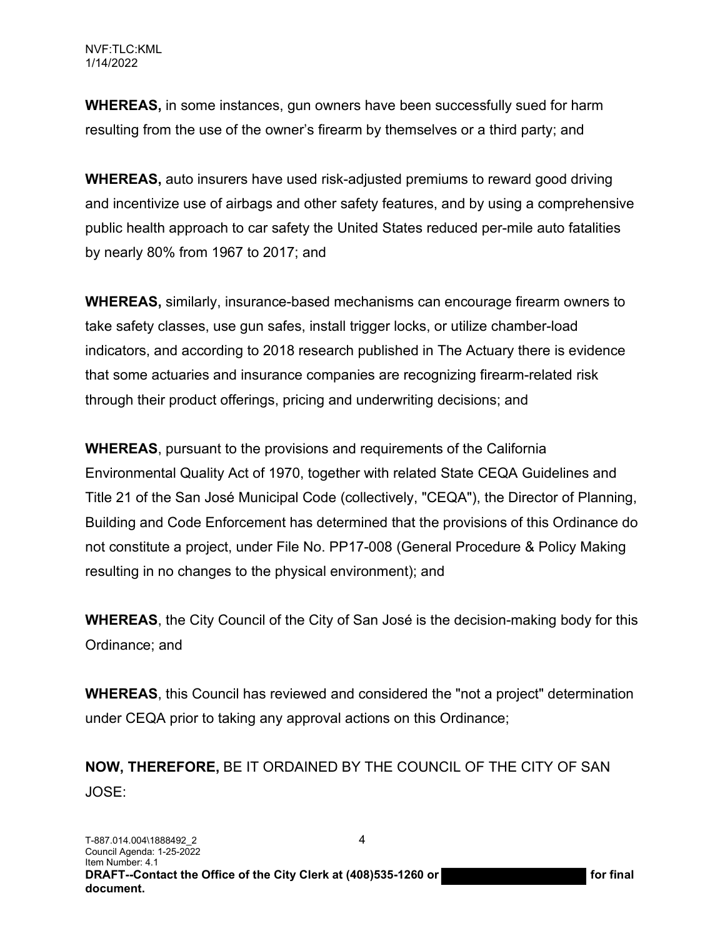**WHEREAS,** in some instances, gun owners have been successfully sued for harm resulting from the use of the owner's firearm by themselves or a third party; and

**WHEREAS,** auto insurers have used risk-adjusted premiums to reward good driving and incentivize use of airbags and other safety features, and by using a comprehensive public health approach to car safety the United States reduced per-mile auto fatalities by nearly 80% from 1967 to 2017; and

**WHEREAS,** similarly, insurance-based mechanisms can encourage firearm owners to take safety classes, use gun safes, install trigger locks, or utilize chamber-load indicators, and according to 2018 research published in The Actuary there is evidence that some actuaries and insurance companies are recognizing firearm-related risk through their product offerings, pricing and underwriting decisions; and

**WHEREAS**, pursuant to the provisions and requirements of the California Environmental Quality Act of 1970, together with related State CEQA Guidelines and Title 21 of the San José Municipal Code (collectively, "CEQA"), the Director of Planning, Building and Code Enforcement has determined that the provisions of this Ordinance do not constitute a project, under File No. PP17-008 (General Procedure & Policy Making resulting in no changes to the physical environment); and

**WHEREAS**, the City Council of the City of San José is the decision-making body for this Ordinance; and

**WHEREAS**, this Council has reviewed and considered the "not a project" determination under CEQA prior to taking any approval actions on this Ordinance;

**NOW, THEREFORE,** BE IT ORDAINED BY THE COUNCIL OF THE CITY OF SAN JOSE: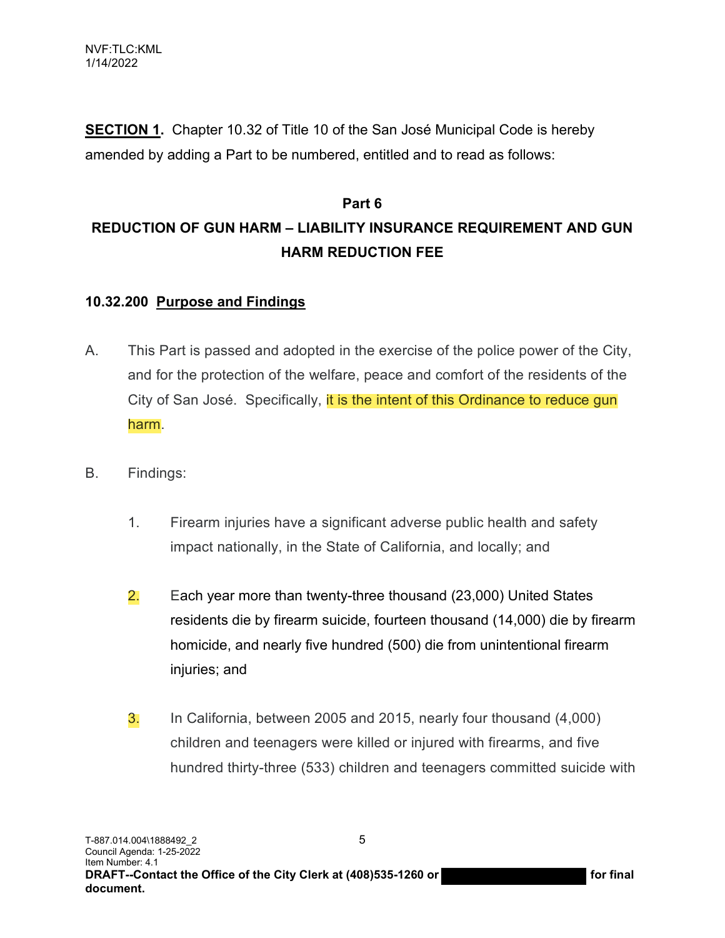**SECTION 1.** Chapter 10.32 of Title 10 of the San José Municipal Code is hereby amended by adding a Part to be numbered, entitled and to read as follows:

# **Part 6 REDUCTION OF GUN HARM – LIABILITY INSURANCE REQUIREMENT AND GUN HARM REDUCTION FEE**

## **10.32.200 Purpose and Findings**

- A. This Part is passed and adopted in the exercise of the police power of the City, and for the protection of the welfare, peace and comfort of the residents of the City of San José. Specifically, it is the intent of this Ordinance to reduce gun harm.
- B. Findings:
	- 1. Firearm injuries have a significant adverse public health and safety impact nationally, in the State of California, and locally; and
	- 2. Each year more than twenty-three thousand (23,000) United States residents die by firearm suicide, fourteen thousand (14,000) die by firearm homicide, and nearly five hundred (500) die from unintentional firearm injuries; and
	- 3. In California, between 2005 and 2015, nearly four thousand (4,000) children and teenagers were killed or injured with firearms, and five hundred thirty-three (533) children and teenagers committed suicide with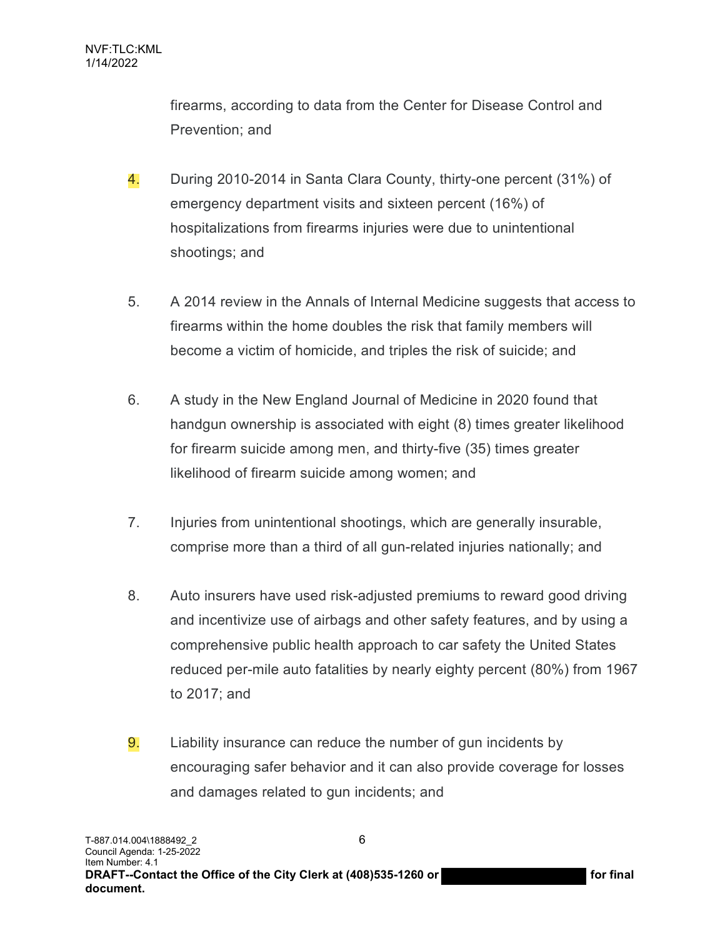firearms, according to data from the Center for Disease Control and Prevention; and

- 4. During 2010-2014 in Santa Clara County, thirty-one percent (31%) of emergency department visits and sixteen percent (16%) of hospitalizations from firearms injuries were due to unintentional shootings; and
- 5. A 2014 review in the Annals of Internal Medicine suggests that access to firearms within the home doubles the risk that family members will become a victim of homicide, and triples the risk of suicide; and
- 6. A study in the New England Journal of Medicine in 2020 found that handgun ownership is associated with eight (8) times greater likelihood for firearm suicide among men, and thirty-five (35) times greater likelihood of firearm suicide among women; and
- 7. Injuries from unintentional shootings, which are generally insurable, comprise more than a third of all gun-related injuries nationally; and
- 8. Auto insurers have used risk-adjusted premiums to reward good driving and incentivize use of airbags and other safety features, and by using a comprehensive public health approach to car safety the United States reduced per-mile auto fatalities by nearly eighty percent (80%) from 1967 to 2017; and
- 9. Liability insurance can reduce the number of gun incidents by encouraging safer behavior and it can also provide coverage for losses and damages related to gun incidents; and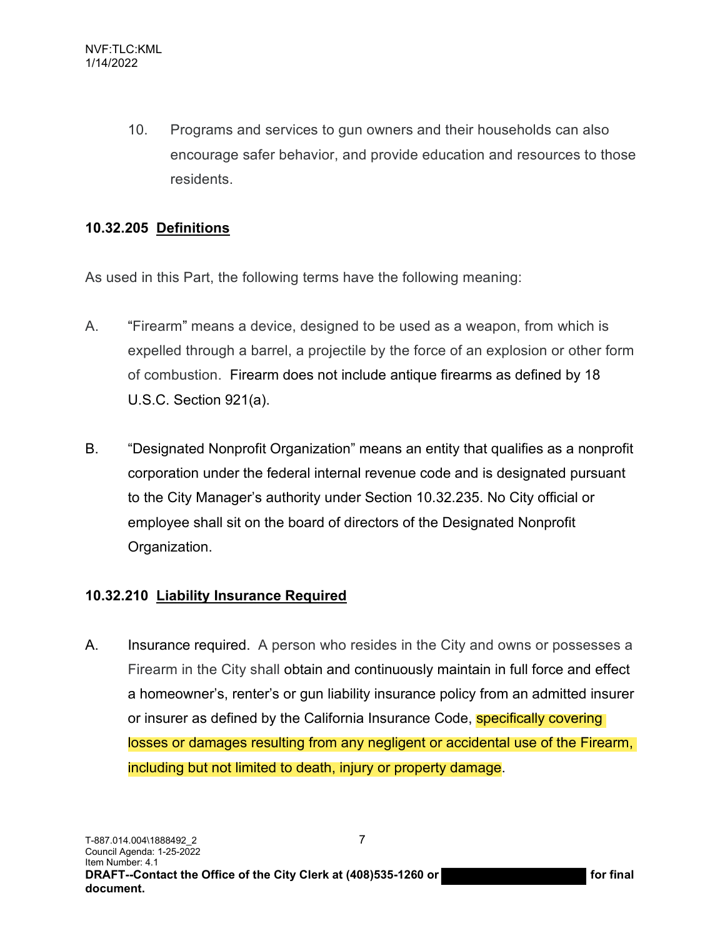10. Programs and services to gun owners and their households can also encourage safer behavior, and provide education and resources to those residents.

# **10.32.205 Definitions**

As used in this Part, the following terms have the following meaning:

- A. "Firearm" means a device, designed to be used as a weapon, from which is expelled through a barrel, a projectile by the force of an explosion or other form of combustion. Firearm does not include antique firearms as defined by 18 U.S.C. Section 921(a).
- B. "Designated Nonprofit Organization" means an entity that qualifies as a nonprofit corporation under the federal internal revenue code and is designated pursuant to the City Manager's authority under Section 10.32.235. No City official or employee shall sit on the board of directors of the Designated Nonprofit Organization.

# **10.32.210 Liability Insurance Required**

A. Insurance required. A person who resides in the City and owns or possesses a Firearm in the City shall obtain and continuously maintain in full force and effect a homeowner's, renter's or gun liability insurance policy from an admitted insurer or insurer as defined by the California Insurance Code, **specifically covering** losses or damages resulting from any negligent or accidental use of the Firearm, including but not limited to death, injury or property damage.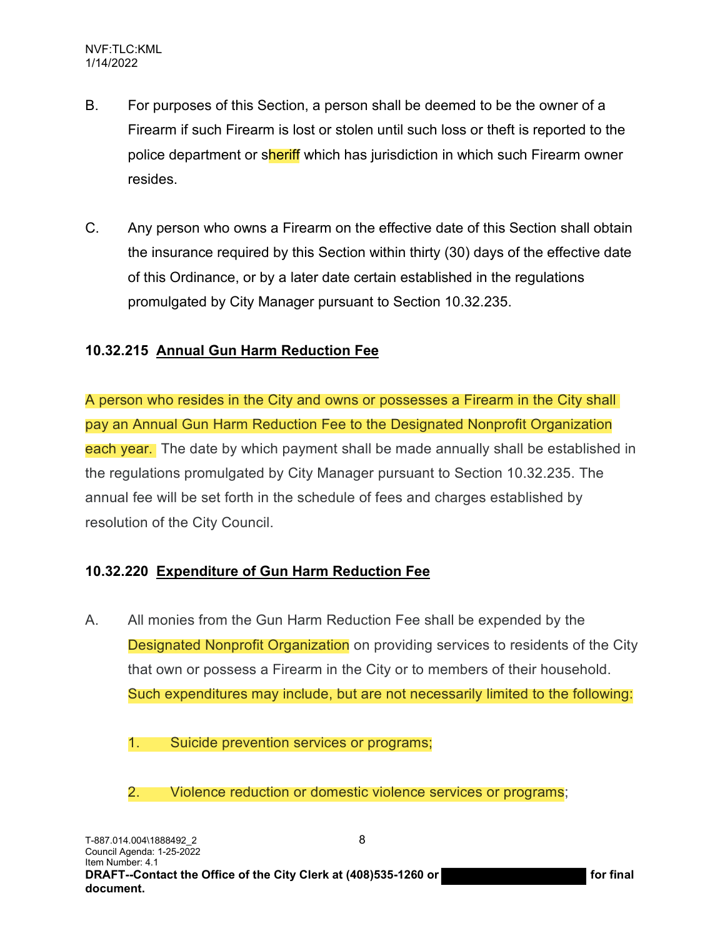- B. For purposes of this Section, a person shall be deemed to be the owner of a Firearm if such Firearm is lost or stolen until such loss or theft is reported to the police department or sheriff which has jurisdiction in which such Firearm owner resides.
- C. Any person who owns a Firearm on the effective date of this Section shall obtain the insurance required by this Section within thirty (30) days of the effective date of this Ordinance, or by a later date certain established in the regulations promulgated by City Manager pursuant to Section 10.32.235.

# **10.32.215 Annual Gun Harm Reduction Fee**

A person who resides in the City and owns or possesses a Firearm in the City shall pay an Annual Gun Harm Reduction Fee to the Designated Nonprofit Organization each year. The date by which payment shall be made annually shall be established in the regulations promulgated by City Manager pursuant to Section 10.32.235. The annual fee will be set forth in the schedule of fees and charges established by resolution of the City Council.

#### **10.32.220 Expenditure of Gun Harm Reduction Fee**

- A. All monies from the Gun Harm Reduction Fee shall be expended by the Designated Nonprofit Organization on providing services to residents of the City that own or possess a Firearm in the City or to members of their household. Such expenditures may include, but are not necessarily limited to the following:
	- 1. Suicide prevention services or programs;
	- 2. Violence reduction or domestic violence services or programs;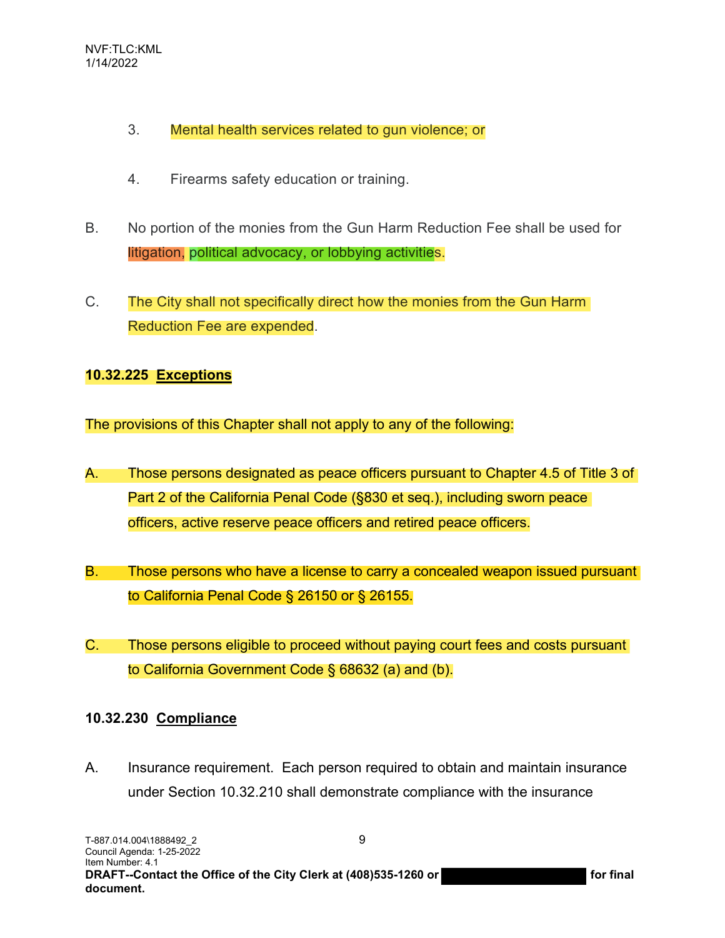- 3. Mental health services related to gun violence; or
- 4. Firearms safety education or training.
- B. No portion of the monies from the Gun Harm Reduction Fee shall be used for litigation, political advocacy, or lobbying activities.
- C. The City shall not specifically direct how the monies from the Gun Harm Reduction Fee are expended.

#### **10.32.225 Exceptions**

The provisions of this Chapter shall not apply to any of the following:

- A. Those persons designated as peace officers pursuant to Chapter 4.5 of Title 3 of Part 2 of the California Penal Code (§830 et seq.), including sworn peace officers, active reserve peace officers and retired peace officers.
- B. Those persons who have a license to carry a concealed weapon issued pursuant to California Penal Code § 26150 or § 26155.
- C. Those persons eligible to proceed without paying court fees and costs pursuant to California Government Code § 68632 (a) and (b).

#### **10.32.230 Compliance**

A. Insurance requirement. Each person required to obtain and maintain insurance under Section 10.32.210 shall demonstrate compliance with the insurance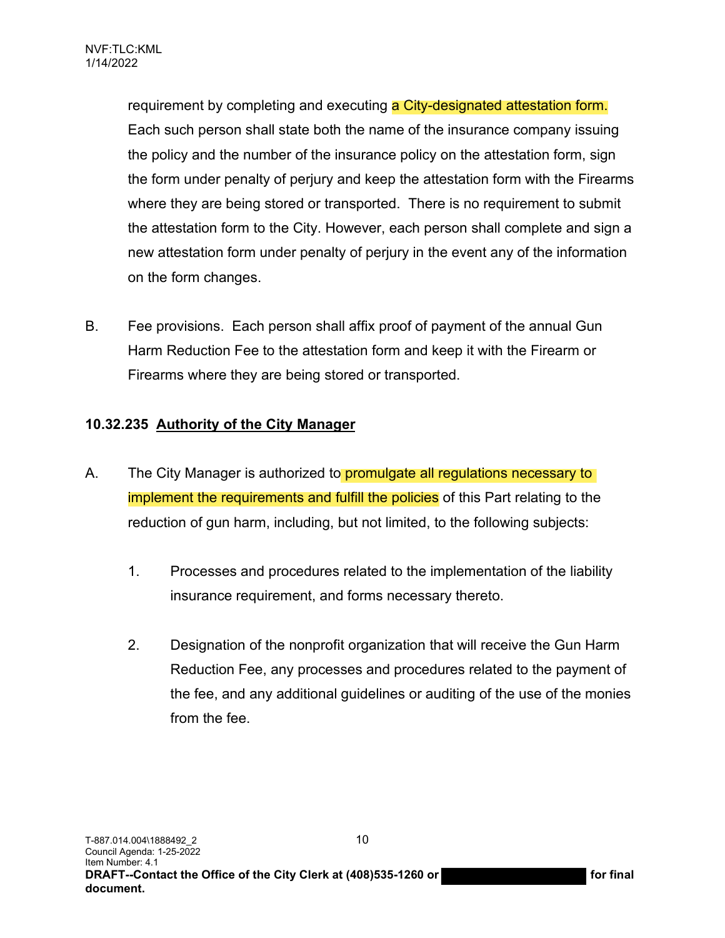requirement by completing and executing a City-designated attestation form. Each such person shall state both the name of the insurance company issuing the policy and the number of the insurance policy on the attestation form, sign the form under penalty of perjury and keep the attestation form with the Firearms where they are being stored or transported. There is no requirement to submit the attestation form to the City. However, each person shall complete and sign a new attestation form under penalty of perjury in the event any of the information on the form changes.

B. Fee provisions. Each person shall affix proof of payment of the annual Gun Harm Reduction Fee to the attestation form and keep it with the Firearm or Firearms where they are being stored or transported.

# **10.32.235 Authority of the City Manager**

- A. The City Manager is authorized to **promulgate all regulations necessary to** implement the requirements and fulfill the policies of this Part relating to the reduction of gun harm, including, but not limited, to the following subjects:
	- 1. Processes and procedures related to the implementation of the liability insurance requirement, and forms necessary thereto.
	- 2. Designation of the nonprofit organization that will receive the Gun Harm Reduction Fee, any processes and procedures related to the payment of the fee, and any additional guidelines or auditing of the use of the monies from the fee.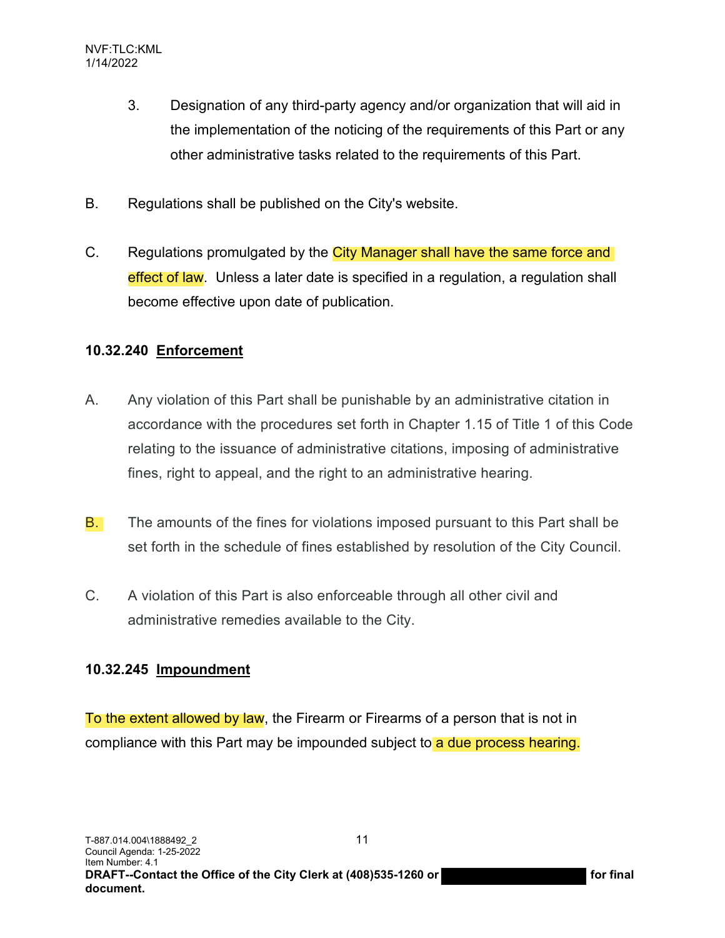- 3. Designation of any third-party agency and/or organization that will aid in the implementation of the noticing of the requirements of this Part or any other administrative tasks related to the requirements of this Part.
- B. Regulations shall be published on the City's website.
- C. Regulations promulgated by the City Manager shall have the same force and effect of law. Unless a later date is specified in a regulation, a regulation shall become effective upon date of publication.

# **10.32.240 Enforcement**

- A. Any violation of this Part shall be punishable by an administrative citation in accordance with the procedures set forth in Chapter 1.15 of Title 1 of this Code relating to the issuance of administrative citations, imposing of administrative fines, right to appeal, and the right to an administrative hearing.
- B. The amounts of the fines for violations imposed pursuant to this Part shall be set forth in the schedule of fines established by resolution of the City Council.
- C. A violation of this Part is also enforceable through all other civil and administrative remedies available to the City.

# **10.32.245 Impoundment**

To the extent allowed by law, the Firearm or Firearms of a person that is not in compliance with this Part may be impounded subject to a due process hearing.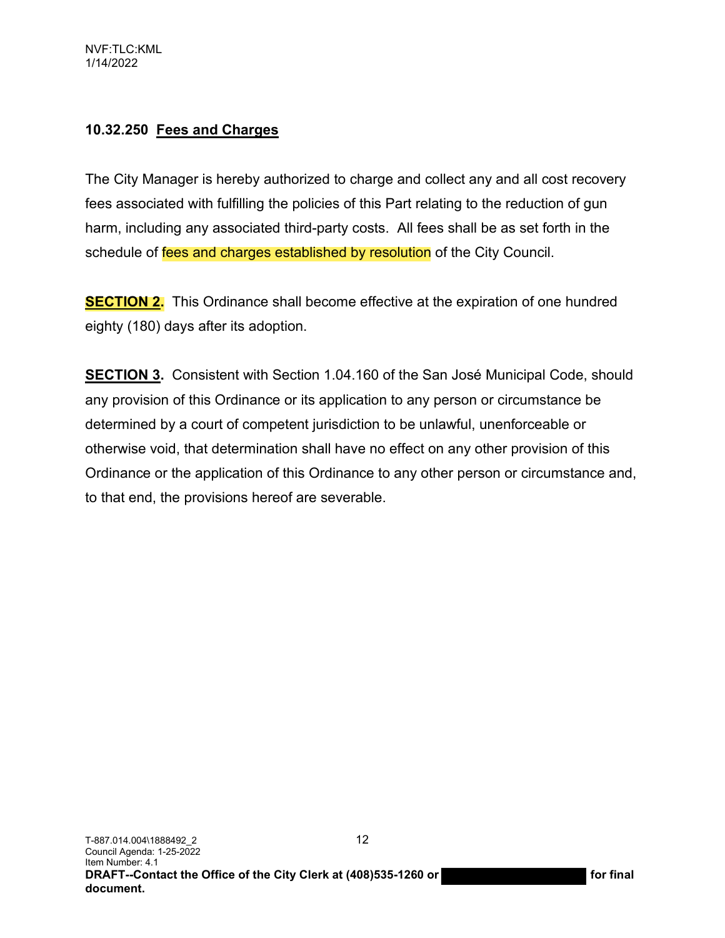# **10.32.250 Fees and Charges**

The City Manager is hereby authorized to charge and collect any and all cost recovery fees associated with fulfilling the policies of this Part relating to the reduction of gun harm, including any associated third-party costs. All fees shall be as set forth in the schedule of fees and charges established by resolution of the City Council.

**SECTION 2.** This Ordinance shall become effective at the expiration of one hundred eighty (180) days after its adoption.

**SECTION 3.** Consistent with Section 1.04.160 of the San José Municipal Code, should any provision of this Ordinance or its application to any person or circumstance be determined by a court of competent jurisdiction to be unlawful, unenforceable or otherwise void, that determination shall have no effect on any other provision of this Ordinance or the application of this Ordinance to any other person or circumstance and, to that end, the provisions hereof are severable.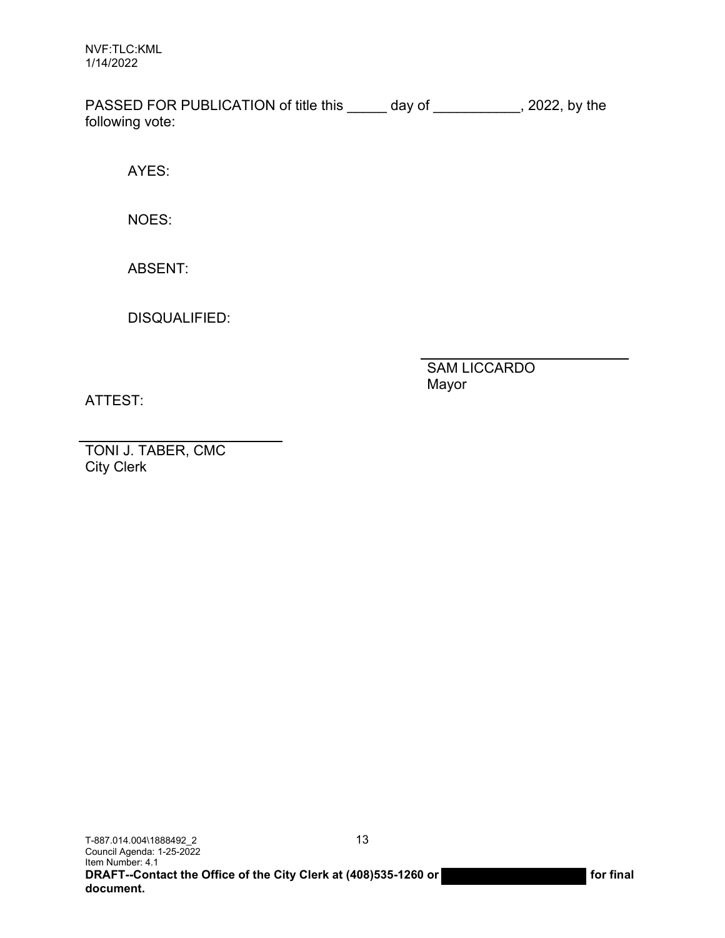NVF:TLC:KML 1/14/2022

PASSED FOR PUBLICATION of title this \_\_\_\_\_ day of \_\_\_\_\_\_\_\_\_\_, 2022, by the following vote:

AYES:

NOES:

ABSENT:

DISQUALIFIED:

SAM LICCARDO Mayor

ATTEST:

TONI J. TABER, CMC City Clerk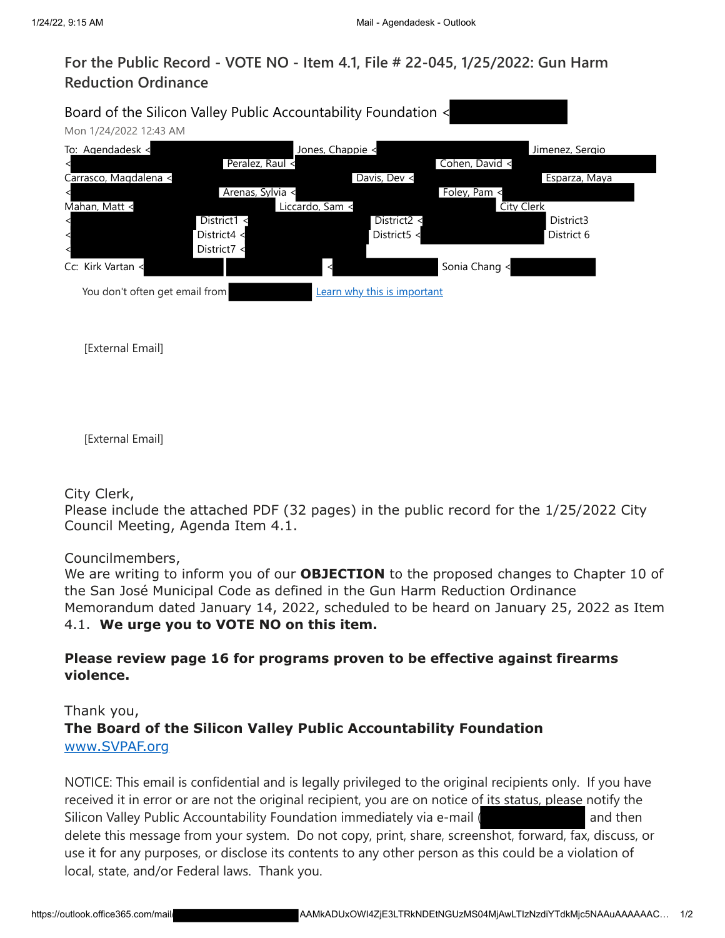# **For the Public Record - VOTE NO - Item 4.1, File # 22-045, 1/25/2022: Gun Harm Reduction Ordinance**

| Mon 1/24/2022 12:43 AM         | Board of the Silicon Valley Public Accountability Foundation < |                             |                |                 |
|--------------------------------|----------------------------------------------------------------|-----------------------------|----------------|-----------------|
| To: Agendadesk <               |                                                                | Jones, Chappie <            |                | Jimenez, Sergio |
|                                | Peralez, Raul <                                                |                             | Cohen, David < |                 |
| Carrasco, Magdalena <          |                                                                | Davis, Dev <                |                | Esparza, Maya   |
|                                | Arenas, Sylvia <                                               |                             | Foley, Pam <   |                 |
| Mahan, Matt <                  | Liccardo, Sam <                                                |                             | City Clerk     |                 |
|                                | District1 $\leq$                                               | District2 <                 |                | District3       |
|                                | District4 <                                                    | District5 <                 |                | District 6      |
|                                | District7 <                                                    |                             |                |                 |
| Cc: Kirk Vartan <              |                                                                |                             | Sonia Chang <  |                 |
| You don't often get email from |                                                                | Learn why this is important |                |                 |
|                                |                                                                |                             |                |                 |

[External Email]

[External Email]

City Clerk,

Please include the attached PDF (32 pages) in the public record for the 1/25/2022 City Council Meeting, Agenda Item 4.1.

Councilmembers,

We are writing to inform you of our **OBJECTION** to the proposed changes to Chapter 10 of the San José Municipal Code as defined in the Gun Harm Reduction Ordinance Memorandum dated January 14, 2022, scheduled to be heard on January 25, 2022 as Item 4.1. **We urge you to VOTE NO on this item.**

#### **Please review page 16 for programs proven to be effective against firearms violence.**

# Thank you, **The Board of the Silicon Valley Public Accountability Foundation** [www.SVPAF.org](https://na01.safelinks.protection.outlook.com/?url=http%3A%2F%2Fwww.svpaf.org%2F&data=04%7C01%7CAgendadesk%40sanjoseca.gov%7Cefc4437efbfa490010dc08d9df15a60d%7C0fe33be061424f969b8d7817d5c26139%7C1%7C0%7C637786106341746866%7CUnknown%7CTWFpbGZsb3d8eyJWIjoiMC4wLjAwMDAiLCJQIjoiV2luMzIiLCJBTiI6Ik1haWwiLCJXVCI6Mn0%3D%7C0&sdata=MOdvSQtb9YMivmvk1G0cAa1w%2FfY%2BE1SZ5Lq6oSxr0q8%3D&reserved=0)

NOTICE: This email is confidential and is legally privileged to the original recipients only. If you have received it in error or are not the original recipient, you are on notice of its status, please notify the Silicon Valley Public Accountability Foundation immediately via e-mail ( and then delete this message from your system. Do not copy, print, share, screenshot, forward, fax, discuss, or use it for any purposes, or disclose its contents to any other person as this could be a violation of local, state, and/or Federal laws. Thank you.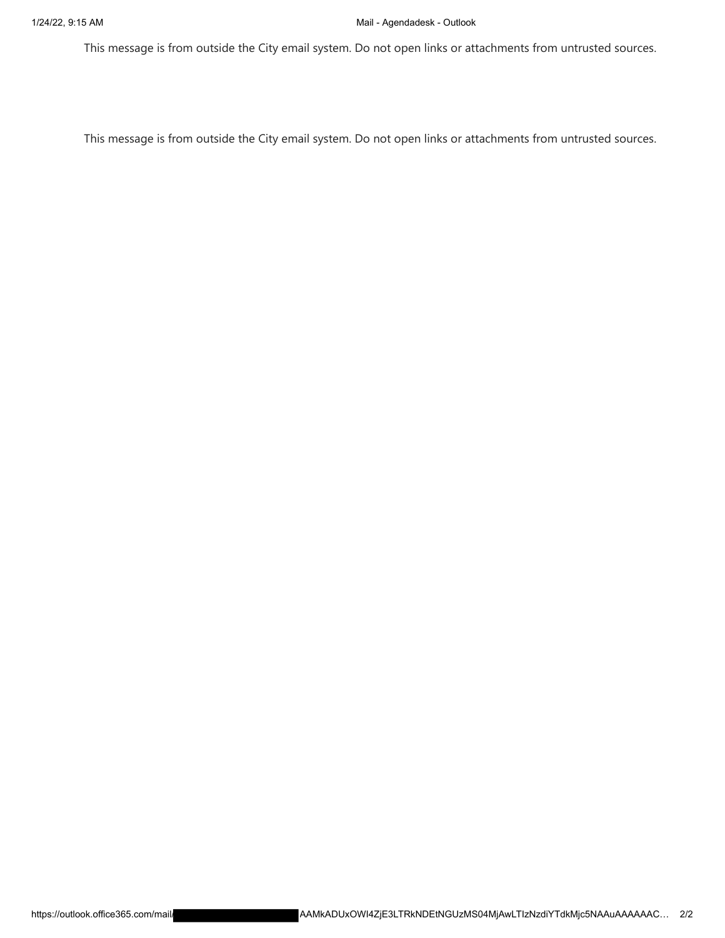This message is from outside the City email system. Do not open links or attachments from untrusted sources.

This message is from outside the City email system. Do not open links or attachments from untrusted sources.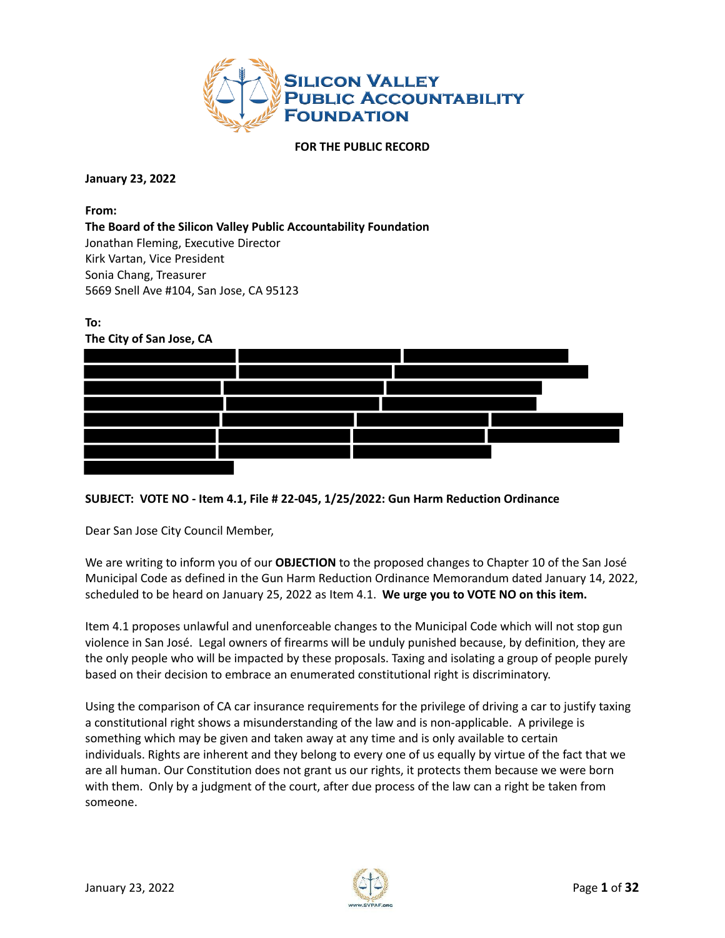

#### **FOR THE PUBLIC RECORD**

**January 23, 2022**

**From:**

**The Board of the Silicon Valley Public Accountability Foundation** Jonathan Fleming, Executive Director Kirk Vartan, Vice President Sonia Chang, Treasurer 5669 Snell Ave #104, San Jose, CA 95123



#### **SUBJECT: VOTE NO - Item 4.1, File # 22-045, 1/25/2022: Gun Harm Reduction Ordinance**

Dear San Jose City Council Member,

We are writing to inform you of our **OBJECTION** to the proposed changes to Chapter 10 of the San José Municipal Code as defined in the Gun Harm Reduction Ordinance Memorandum dated January 14, 2022, scheduled to be heard on January 25, 2022 as Item 4.1. **We urge you to VOTE NO on this item.**

Item 4.1 proposes unlawful and unenforceable changes to the Municipal Code which will not stop gun violence in San José. Legal owners of firearms will be unduly punished because, by definition, they are the only people who will be impacted by these proposals. Taxing and isolating a group of people purely based on their decision to embrace an enumerated constitutional right is discriminatory.

Using the comparison of CA car insurance requirements for the privilege of driving a car to justify taxing a constitutional right shows a misunderstanding of the law and is non-applicable. A privilege is something which may be given and taken away at any time and is only available to certain individuals. Rights are inherent and they belong to every one of us equally by virtue of the fact that we are all human. Our Constitution does not grant us our rights, it protects them because we were born with them. Only by a judgment of the court, after due process of the law can a right be taken from someone.

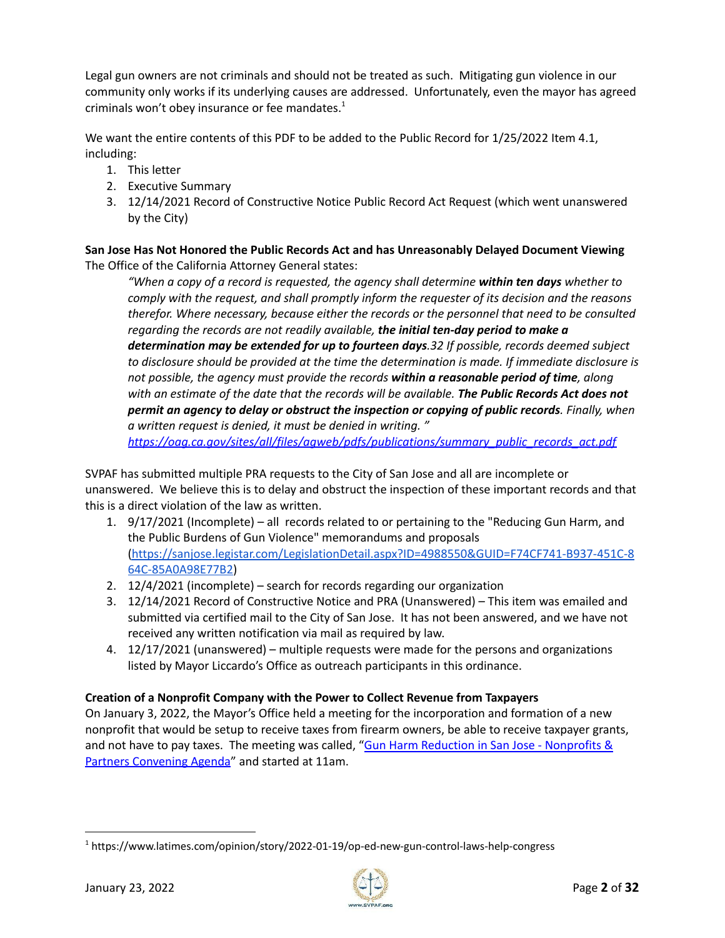Legal gun owners are not criminals and should not be treated as such. Mitigating gun violence in our community only works if its underlying causes are addressed. Unfortunately, even the mayor has agreed criminals won't obey insurance or fee mandates. 1

We want the entire contents of this PDF to be added to the Public Record for 1/25/2022 Item 4.1, including:

- 1. This letter
- 2. Executive Summary
- 3. 12/14/2021 Record of Constructive Notice Public Record Act Request (which went unanswered by the City)

**San Jose Has Not Honored the Public Records Act and has Unreasonably Delayed Document Viewing** The Office of the California Attorney General states:

*"When a copy of a record is requested, the agency shall determine within ten days whether to comply with the request, and shall promptly inform the requester of its decision and the reasons therefor. Where necessary, because either the records or the personnel that need to be consulted regarding the records are not readily available, the initial ten-day period to make a determination may be extended for up to fourteen days.32 If possible, records deemed subject to disclosure should be provided at the time the determination is made. If immediate disclosure is not possible, the agency must provide the records within a reasonable period of time, along with an estimate of the date that the records will be available. The Public Records Act does not permit an agency to delay or obstruct the inspection or copying of public records. Finally, when a written request is denied, it must be denied in writing. "*

*[https://oag.ca.gov/sites/all/files/agweb/pdfs/publications/summary\\_public\\_records\\_act.pdf](https://oag.ca.gov/sites/all/files/agweb/pdfs/publications/summary_public_records_act.pdf)*

SVPAF has submitted multiple PRA requests to the City of San Jose and all are incomplete or unanswered. We believe this is to delay and obstruct the inspection of these important records and that this is a direct violation of the law as written.

- 1. 9/17/2021 (Incomplete) all records related to or pertaining to the "Reducing Gun Harm, and the Public Burdens of Gun Violence" memorandums and proposals [\(https://sanjose.legistar.com/LegislationDetail.aspx?ID=4988550&GUID=F74CF741-B937-451C-8](https://sanjose.legistar.com/LegislationDetail.aspx?ID=4988550&GUID=F74CF741-B937-451C-864C-85A0A98E77B2) [64C-85A0A98E77B2](https://sanjose.legistar.com/LegislationDetail.aspx?ID=4988550&GUID=F74CF741-B937-451C-864C-85A0A98E77B2))
- 2. 12/4/2021 (incomplete) search for records regarding our organization
- 3. 12/14/2021 Record of Constructive Notice and PRA (Unanswered) This item was emailed and submitted via certified mail to the City of San Jose. It has not been answered, and we have not received any written notification via mail as required by law.
- 4. 12/17/2021 (unanswered) multiple requests were made for the persons and organizations listed by Mayor Liccardo's Office as outreach participants in this ordinance.

#### **Creation of a Nonprofit Company with the Power to Collect Revenue from Taxpayers**

On January 3, 2022, the Mayor's Office held a meeting for the incorporation and formation of a new nonprofit that would be setup to receive taxes from firearm owners, be able to receive taxpayer grants, and not have to pay taxes. The meeting was called, "Gun Harm Reduction in San Jose - [Nonprofits](https://drive.google.com/file/d/1D2CPT15htu-CzsPaijGgr0ThOndbxpmg/view?usp=sharing) & Partners [Convening](https://drive.google.com/file/d/1D2CPT15htu-CzsPaijGgr0ThOndbxpmg/view?usp=sharing) Agenda" and started at 11am.

<sup>1</sup> https://www.latimes.com/opinion/story/2022-01-19/op-ed-new-gun-control-laws-help-congress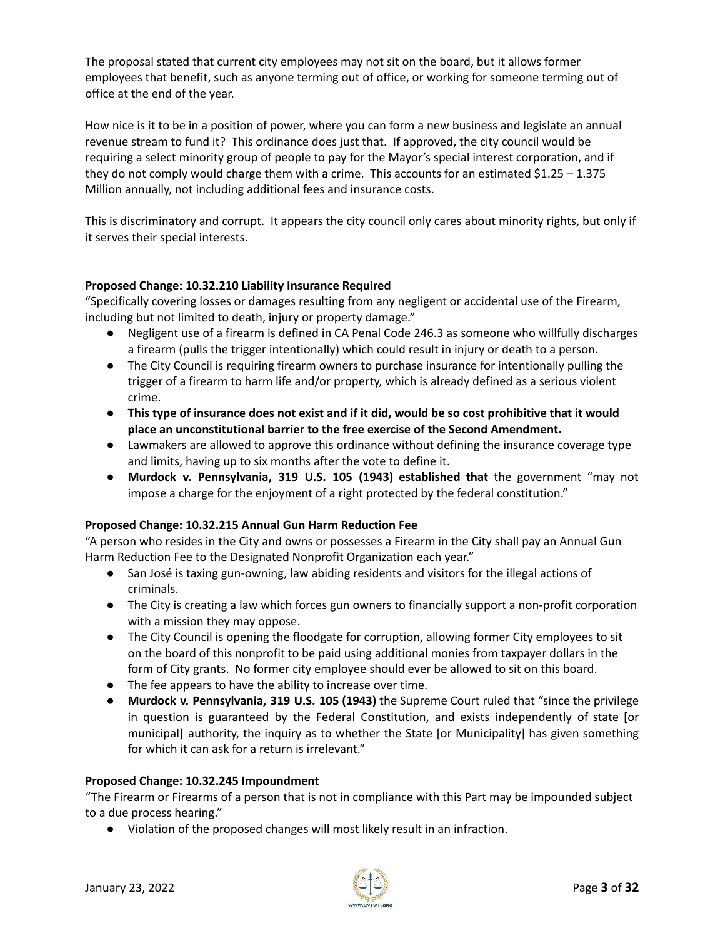The proposal stated that current city employees may not sit on the board, but it allows former employees that benefit, such as anyone terming out of office, or working for someone terming out of office at the end of the year.

How nice is it to be in a position of power, where you can form a new business and legislate an annual revenue stream to fund it? This ordinance does just that. If approved, the city council would be requiring a select minority group of people to pay for the Mayor's special interest corporation, and if they do not comply would charge them with a crime. This accounts for an estimated \$1.25 - 1.375 Million annually, not including additional fees and insurance costs.

This is discriminatory and corrupt. It appears the city council only cares about minority rights, but only if it serves their special interests.

#### **Proposed Change: 10.32.210 Liability Insurance Required**

"Specifically covering losses or damages resulting from any negligent or accidental use of the Firearm, including but not limited to death, injury or property damage."

- Negligent use of a firearm is defined in CA Penal Code 246.3 as someone who willfully discharges a firearm (pulls the trigger intentionally) which could result in injury or death to a person.
- **●** The City Council is requiring firearm owners to purchase insurance for intentionally pulling the trigger of a firearm to harm life and/or property, which is already defined as a serious violent crime.
- This type of insurance does not exist and if it did, would be so cost prohibitive that it would **place an unconstitutional barrier to the free exercise of the Second Amendment.**
- Lawmakers are allowed to approve this ordinance without defining the insurance coverage type and limits, having up to six months after the vote to define it.
- **Murdock v. Pennsylvania, 319 U.S. 105 (1943) established that** the government "may not impose a charge for the enjoyment of a right protected by the federal constitution."

#### **Proposed Change: 10.32.215 Annual Gun Harm Reduction Fee**

"A person who resides in the City and owns or possesses a Firearm in the City shall pay an Annual Gun Harm Reduction Fee to the Designated Nonprofit Organization each year."

- San José is taxing gun-owning, law abiding residents and visitors for the illegal actions of criminals.
- The City is creating a law which forces gun owners to financially support a non-profit corporation with a mission they may oppose.
- The City Council is opening the floodgate for corruption, allowing former City employees to sit on the board of this nonprofit to be paid using additional monies from taxpayer dollars in the form of City grants. No former city employee should ever be allowed to sit on this board.
- The fee appears to have the ability to increase over time.
- **Murdock v. Pennsylvania, 319 U.S. 105 (1943)** the Supreme Court ruled that "since the privilege in question is guaranteed by the Federal Constitution, and exists independently of state [or municipal] authority, the inquiry as to whether the State [or Municipality] has given something for which it can ask for a return is irrelevant."

#### **Proposed Change: 10.32.245 Impoundment**

"The Firearm or Firearms of a person that is not in compliance with this Part may be impounded subject to a due process hearing."

● Violation of the proposed changes will most likely result in an infraction.

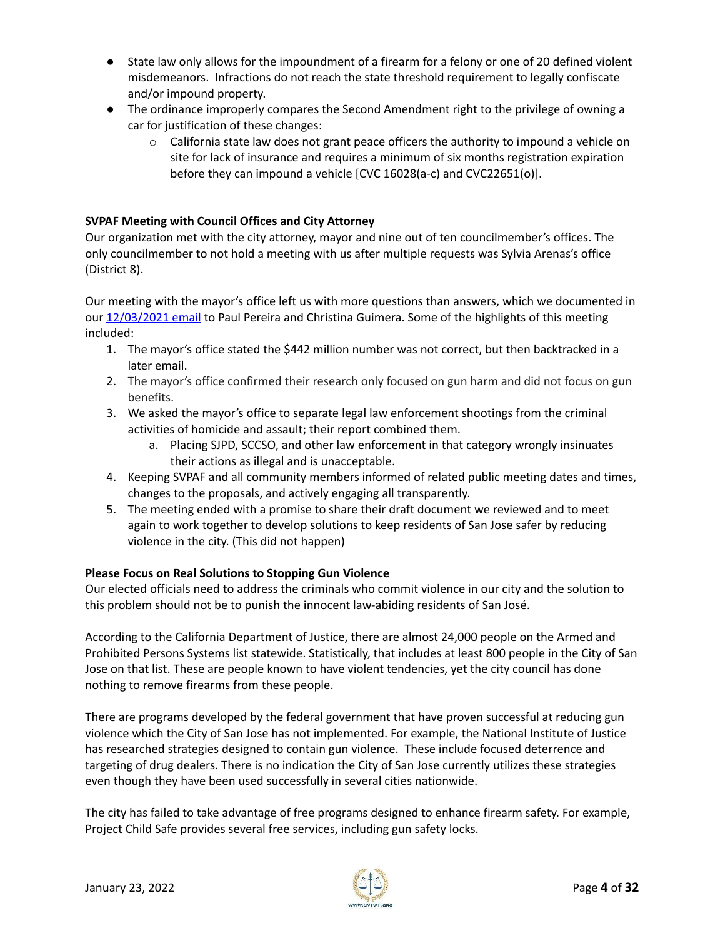- State law only allows for the impoundment of a firearm for a felony or one of 20 defined violent misdemeanors. Infractions do not reach the state threshold requirement to legally confiscate and/or impound property.
- The ordinance improperly compares the Second Amendment right to the privilege of owning a car for justification of these changes:
	- $\circ$  California state law does not grant peace officers the authority to impound a vehicle on site for lack of insurance and requires a minimum of six months registration expiration before they can impound a vehicle [CVC 16028(a-c) and CVC22651(o)].

#### **SVPAF Meeting with Council Offices and City Attorney**

Our organization met with the city attorney, mayor and nine out of ten councilmember's offices. The only councilmember to not hold a meeting with us after multiple requests was Sylvia Arenas's office (District 8).

Our meeting with the mayor's office left us with more questions than answers, which we documented in our [12/03/2021](https://drive.google.com/file/d/199a4w7uo7B2uhbnYtAaFahbP-Sts054W/view?usp=sharing) email to Paul Pereira and Christina Guimera. Some of the highlights of this meeting included:

- 1. The mayor's office stated the \$442 million number was not correct, but then backtracked in a later email.
- 2. The mayor's office confirmed their research only focused on gun harm and did not focus on gun benefits.
- 3. We asked the mayor's office to separate legal law enforcement shootings from the criminal activities of homicide and assault; their report combined them.
	- a. Placing SJPD, SCCSO, and other law enforcement in that category wrongly insinuates their actions as illegal and is unacceptable.
- 4. Keeping SVPAF and all community members informed of related public meeting dates and times, changes to the proposals, and actively engaging all transparently.
- 5. The meeting ended with a promise to share their draft document we reviewed and to meet again to work together to develop solutions to keep residents of San Jose safer by reducing violence in the city. (This did not happen)

#### **Please Focus on Real Solutions to Stopping Gun Violence**

Our elected officials need to address the criminals who commit violence in our city and the solution to this problem should not be to punish the innocent law-abiding residents of San José.

According to the California Department of Justice, there are almost 24,000 people on the Armed and Prohibited Persons Systems list statewide. Statistically, that includes at least 800 people in the City of San Jose on that list. These are people known to have violent tendencies, yet the city council has done nothing to remove firearms from these people.

There are programs developed by the federal government that have proven successful at reducing gun violence which the City of San Jose has not implemented. For example, the National Institute of Justice has researched strategies designed to contain gun violence. These include focused deterrence and targeting of drug dealers. There is no indication the City of San Jose currently utilizes these strategies even though they have been used successfully in several cities nationwide.

The city has failed to take advantage of free programs designed to enhance firearm safety. For example, Project Child Safe provides several free services, including gun safety locks.

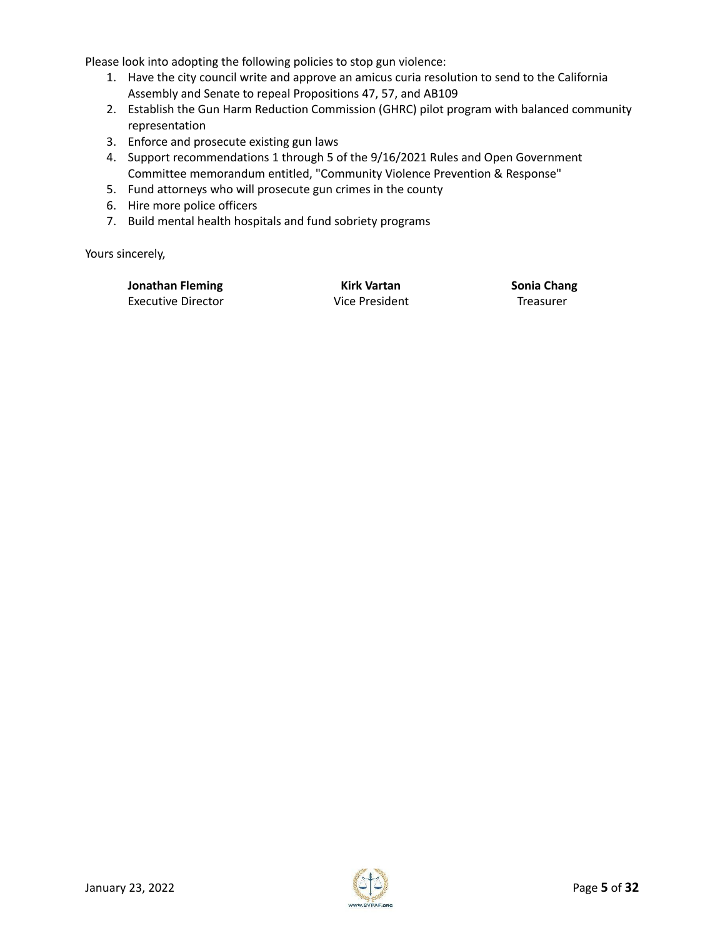Please look into adopting the following policies to stop gun violence:

- 1. Have the city council write and approve an amicus curia resolution to send to the California Assembly and Senate to repeal Propositions 47, 57, and AB109
- 2. Establish the Gun Harm Reduction Commission (GHRC) pilot program with balanced community representation
- 3. Enforce and prosecute existing gun laws
- 4. Support recommendations 1 through 5 of the 9/16/2021 Rules and Open Government Committee memorandum entitled, "Community Violence Prevention & Response"
- 5. Fund attorneys who will prosecute gun crimes in the county
- 6. Hire more police officers
- 7. Build mental health hospitals and fund sobriety programs

Yours sincerely,

**Jonathan Fleming Kirk Vartan Sonia Chang** Executive Director Vice President Treasurer

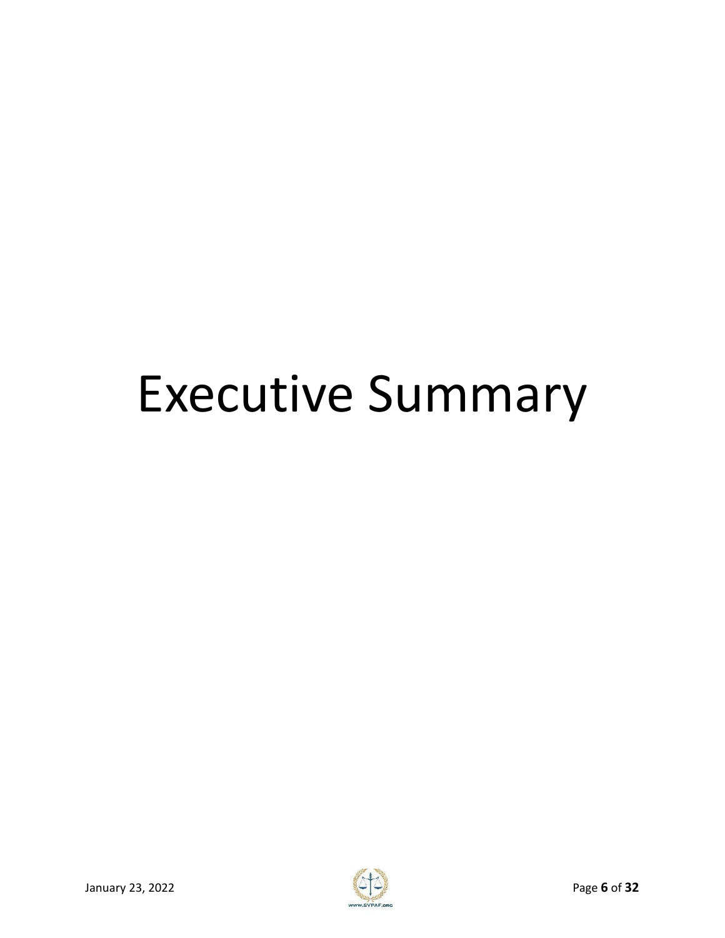# Executive Summary

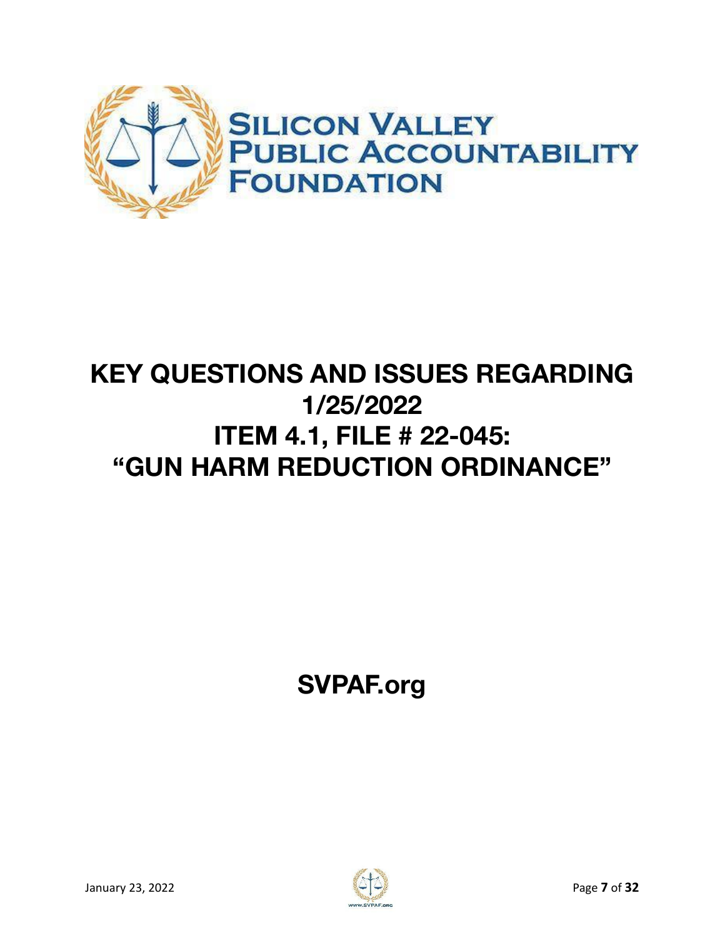

# **KEY QUESTIONS AND ISSUES REGARDING 1/25/2022 ITEM 4.1, FILE # 22-045: "GUN HARM REDUCTION ORDINANCE"**

**SVPAF.org**

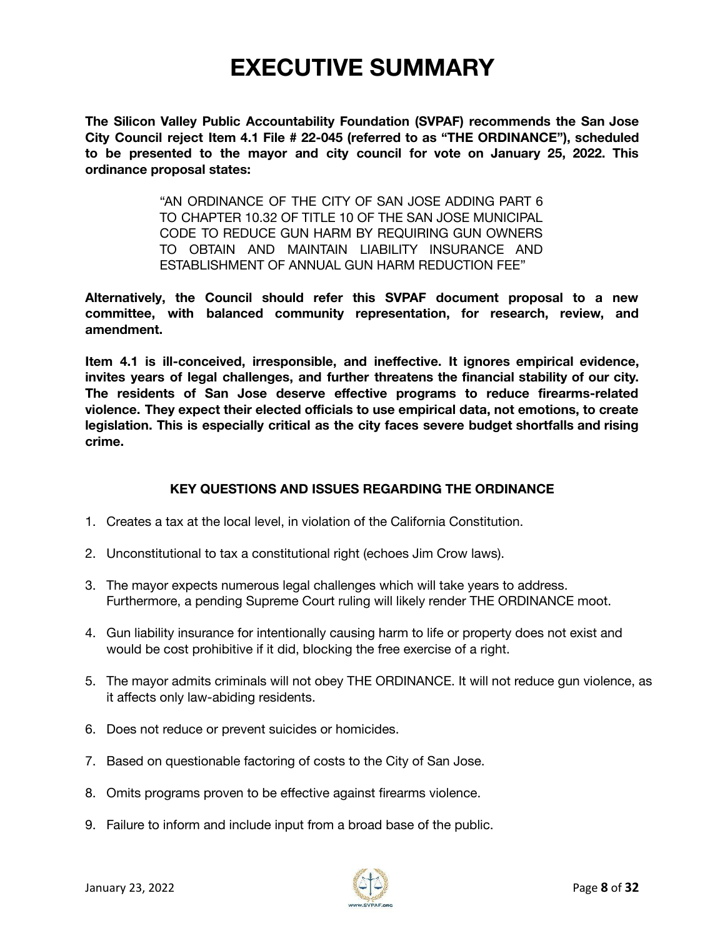# **EXECUTIVE SUMMARY**

**The Silicon Valley Public Accountability Foundation (SVPAF) recommends the San Jose City Council reject Item 4.1 File # 22-045 (referred to as "THE ORDINANCE"), scheduled to be presented to the mayor and city council for vote on January 25, 2022. This ordinance proposal states:**

> "AN ORDINANCE OF THE CITY OF SAN JOSE ADDING PART 6 TO CHAPTER 10.32 OF TITLE 10 OF THE SAN JOSE MUNICIPAL CODE TO REDUCE GUN HARM BY REQUIRING GUN OWNERS TO OBTAIN AND MAINTAIN LIABILITY INSURANCE AND ESTABLISHMENT OF ANNUAL GUN HARM REDUCTION FEE"

**Alternatively, the Council should refer this SVPAF document proposal to a new committee, with balanced community representation, for research, review, and amendment.**

**Item 4.1 is ill-conceived, irresponsible, and ineffective. It ignores empirical evidence, invites years of legal challenges, and further threatens the financial stability of our city. The residents of San Jose deserve effective programs to reduce firearms-related violence. They expect their elected officials to use empirical data, not emotions, to create legislation. This is especially critical as the city faces severe budget shortfalls and rising crime.**

#### **KEY QUESTIONS AND ISSUES REGARDING THE ORDINANCE**

- 1. Creates a tax at the local level, in violation of the California Constitution.
- 2. Unconstitutional to tax a constitutional right (echoes Jim Crow laws).
- 3. The mayor expects numerous legal challenges which will take years to address. Furthermore, a pending Supreme Court ruling will likely render THE ORDINANCE moot.
- 4. Gun liability insurance for intentionally causing harm to life or property does not exist and would be cost prohibitive if it did, blocking the free exercise of a right.
- 5. The mayor admits criminals will not obey THE ORDINANCE. It will not reduce gun violence, as it affects only law-abiding residents.
- 6. Does not reduce or prevent suicides or homicides.
- 7. Based on questionable factoring of costs to the City of San Jose.
- 8. Omits programs proven to be effective against firearms violence.
- 9. Failure to inform and include input from a broad base of the public.

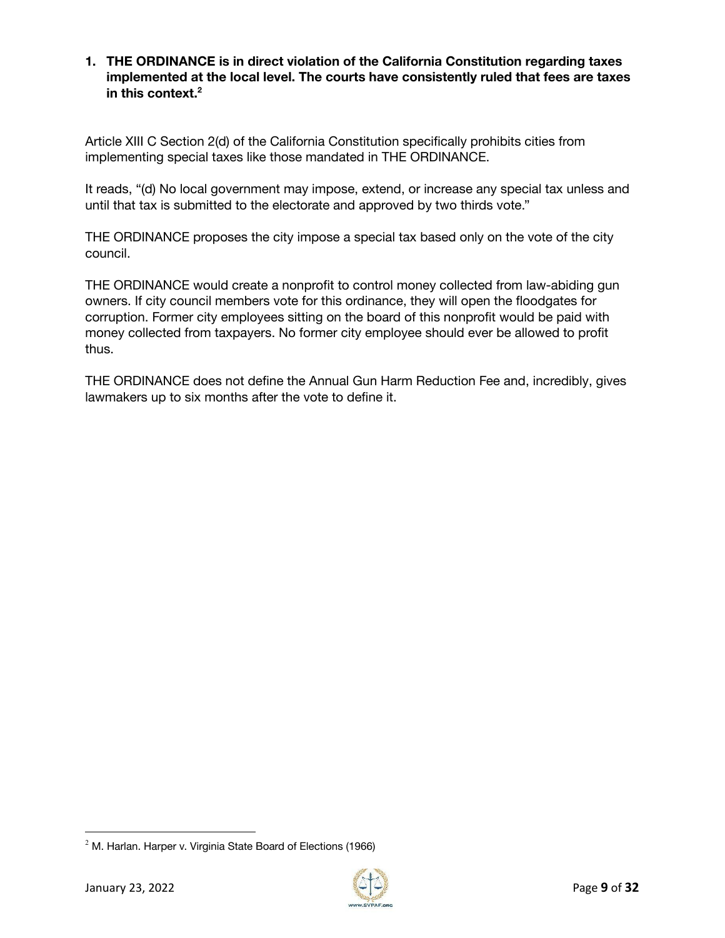#### **1. THE ORDINANCE is in direct violation of the California Constitution regarding taxes implemented at the local level. The courts have consistently ruled that fees are taxes in this context. 2**

Article XIII C Section 2(d) of the California Constitution specifically prohibits cities from implementing special taxes like those mandated in THE ORDINANCE.

It reads, "(d) No local government may impose, extend, or increase any special tax unless and until that tax is submitted to the electorate and approved by two thirds vote."

THE ORDINANCE proposes the city impose a special tax based only on the vote of the city council.

THE ORDINANCE would create a nonprofit to control money collected from law-abiding gun owners. If city council members vote for this ordinance, they will open the floodgates for corruption. Former city employees sitting on the board of this nonprofit would be paid with money collected from taxpayers. No former city employee should ever be allowed to profit thus.

THE ORDINANCE does not define the Annual Gun Harm Reduction Fee and, incredibly, gives lawmakers up to six months after the vote to define it.



 $2$  M. Harlan. Harper v. Virginia State Board of Elections (1966)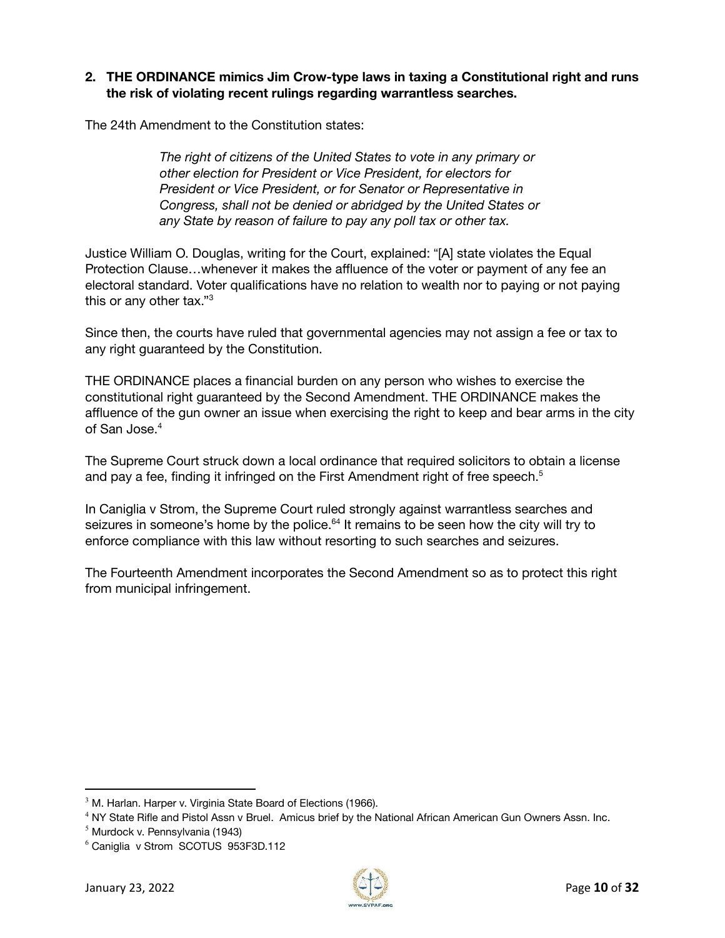#### **2. THE ORDINANCE mimics Jim Crow-type laws in taxing a Constitutional right and runs the risk of violating recent rulings regarding warrantless searches.**

The 24th Amendment to the Constitution states:

*The right of citizens of the United States to vote in any primary or other election for President or Vice President, for electors for President or Vice President, or for Senator or Representative in Congress, shall not be denied or abridged by the United States or any State by reason of failure to pay any poll tax or other tax.*

Justice William O. Douglas, writing for the Court, explained: "[A] state violates the Equal Protection Clause…whenever it makes the affluence of the voter or payment of any fee an electoral standard. Voter qualifications have no relation to wealth nor to paying or not paying this or any other tax." $3$ 

Since then, the courts have ruled that governmental agencies may not assign a fee or tax to any right guaranteed by the Constitution.

THE ORDINANCE places a financial burden on any person who wishes to exercise the constitutional right guaranteed by the Second Amendment. THE ORDINANCE makes the affluence of the gun owner an issue when exercising the right to keep and bear arms in the city of San Jose. 4

The Supreme Court struck down a local ordinance that required solicitors to obtain a license and pay a fee, finding it infringed on the First Amendment right of free speech. 5

In Caniglia v Strom, the Supreme Court ruled strongly against warrantless searches and seizures in someone's home by the police.<sup>64</sup> It remains to be seen how the city will try to enforce compliance with this law without resorting to such searches and seizures.

The Fourteenth Amendment incorporates the Second Amendment so as to protect this right from municipal infringement.



 $3$  M. Harlan. Harper v. Virginia State Board of Elections (1966).

<sup>&</sup>lt;sup>4</sup> NY State Rifle and Pistol Assn v Bruel. Amicus brief by the National African American Gun Owners Assn. Inc.

 $<sup>5</sup>$  Murdock v. Pennsylvania (1943)</sup>

<sup>6</sup> Caniglia v Strom SCOTUS 953F3D.112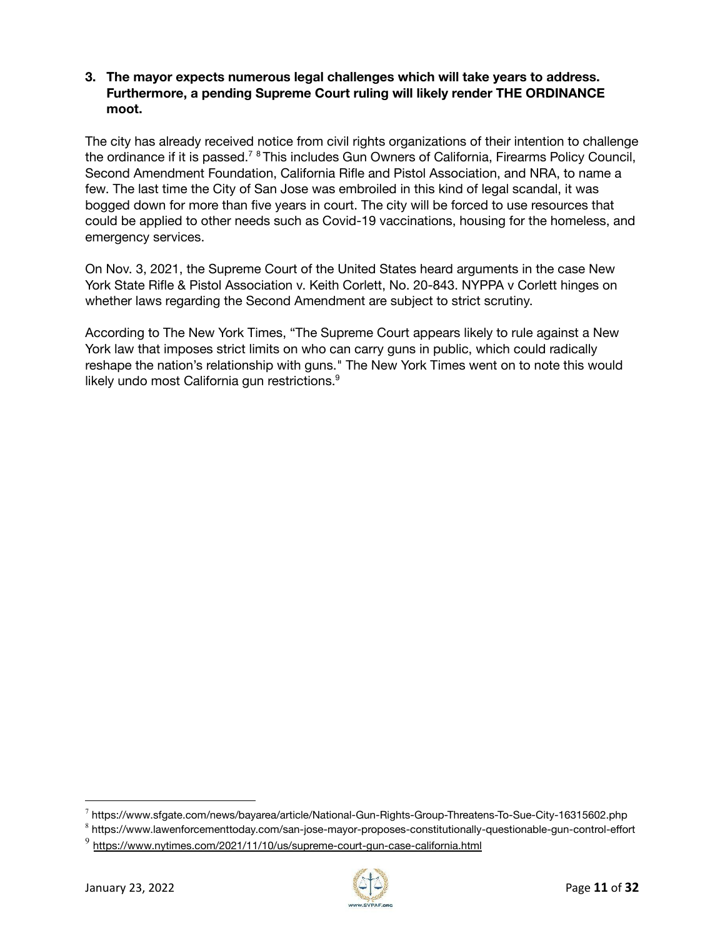#### **3. The mayor expects numerous legal challenges which will take years to address. Furthermore, a pending Supreme Court ruling will likely render THE ORDINANCE moot.**

The city has already received notice from civil rights organizations of their intention to challenge the ordinance if it is passed.<sup>78</sup> This includes Gun Owners of California, Firearms Policy Council, Second Amendment Foundation, California Rifle and Pistol Association, and NRA, to name a few. The last time the City of San Jose was embroiled in this kind of legal scandal, it was bogged down for more than five years in court. The city will be forced to use resources that could be applied to other needs such as Covid-19 vaccinations, housing for the homeless, and emergency services.

On Nov. 3, 2021, the Supreme Court of the United States heard arguments in the case New York State Rifle & Pistol Association v. Keith Corlett, No. 20-843. NYPPA v Corlett hinges on whether laws regarding the Second Amendment are subject to strict scrutiny.

According to The New York Times, "The Supreme Court appears likely to rule against a New York law that imposes strict limits on who can carry guns in public, which could radically reshape the nation's relationship with guns." The New York Times went on to note this would likely undo most California gun restrictions.<sup>9</sup>



 $^7$  https://www.sfgate.com/news/bayarea/article/National-Gun-Rights-Group-Threatens-To-Sue-City-16315602.php

<sup>8</sup> https://www.lawenforcementtoday.com/san-jose-mayor-proposes-constitutionally-questionable-gun-control-effort

<sup>&</sup>lt;sup>9</sup> <https://www.nytimes.com/2021/11/10/us/supreme-court-gun-case-california.html>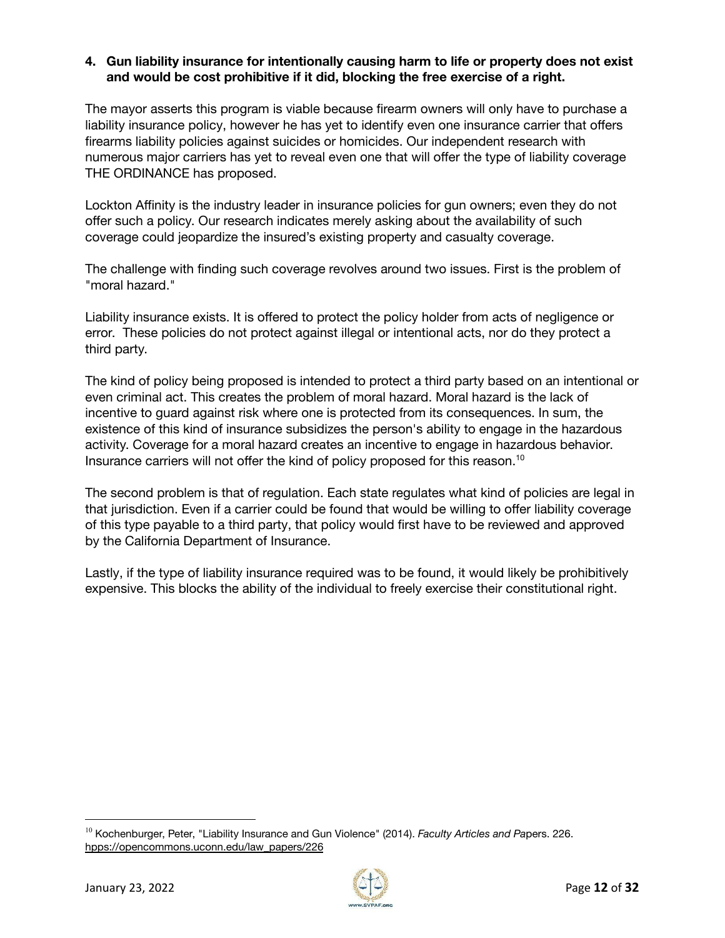#### **4. Gun liability insurance for intentionally causing harm to life or property does not exist and would be cost prohibitive if it did, blocking the free exercise of a right.**

The mayor asserts this program is viable because firearm owners will only have to purchase a liability insurance policy, however he has yet to identify even one insurance carrier that offers firearms liability policies against suicides or homicides. Our independent research with numerous major carriers has yet to reveal even one that will offer the type of liability coverage THE ORDINANCE has proposed.

Lockton Affinity is the industry leader in insurance policies for gun owners; even they do not offer such a policy. Our research indicates merely asking about the availability of such coverage could jeopardize the insured's existing property and casualty coverage.

The challenge with finding such coverage revolves around two issues. First is the problem of "moral hazard."

Liability insurance exists. It is offered to protect the policy holder from acts of negligence or error. These policies do not protect against illegal or intentional acts, nor do they protect a third party.

The kind of policy being proposed is intended to protect a third party based on an intentional or even criminal act. This creates the problem of moral hazard. Moral hazard is the lack of incentive to guard against risk where one is protected from its consequences. In sum, the existence of this kind of insurance subsidizes the person's ability to engage in the hazardous activity. Coverage for a moral hazard creates an incentive to engage in hazardous behavior. Insurance carriers will not offer the kind of policy proposed for this reason. 10

The second problem is that of regulation. Each state regulates what kind of policies are legal in that jurisdiction. Even if a carrier could be found that would be willing to offer liability coverage of this type payable to a third party, that policy would first have to be reviewed and approved by the California Department of Insurance.

Lastly, if the type of liability insurance required was to be found, it would likely be prohibitively expensive. This blocks the ability of the individual to freely exercise their constitutional right.



<sup>10</sup> Kochenburger, Peter, "Liability Insurance and Gun Violence" (2014). *Faculty Articles and Pa*pers. 226. hpps://opencommons.uconn.edu/law\_papers/226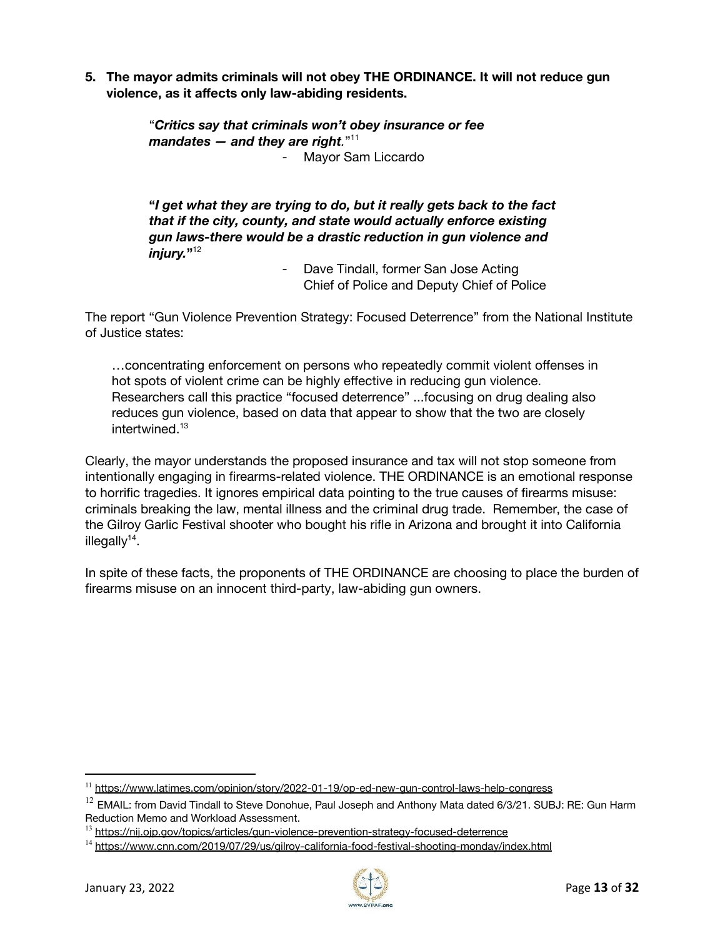**5. The mayor admits criminals will not obey THE ORDINANCE. It will not reduce gun violence, as it affects only law-abiding residents.**

> "*Critics say that criminals won't obey insurance or fee mandates — and they are right.*" 11 Mayor Sam Liccardo

**"***I get what they are trying to do, but it really gets back to the fact that if the city, county, and state would actually enforce existing gun laws-there would be a drastic reduction in gun violence and injury.***"** 12

- Dave Tindall, former San Jose Acting Chief of Police and Deputy Chief of Police

The report "Gun Violence Prevention Strategy: Focused Deterrence" from the National Institute of Justice states:

…concentrating enforcement on persons who repeatedly commit violent offenses in hot spots of violent crime can be highly effective in reducing gun violence. Researchers call this practice "focused deterrence" ...focusing on drug dealing also reduces gun violence, based on data that appear to show that the two are closely intertwined. 13

Clearly, the mayor understands the proposed insurance and tax will not stop someone from intentionally engaging in firearms-related violence. THE ORDINANCE is an emotional response to horrific tragedies. It ignores empirical data pointing to the true causes of firearms misuse: criminals breaking the law, mental illness and the criminal drug trade. Remember, the case of the Gilroy Garlic Festival shooter who bought his rifle in Arizona and brought it into California illegally<sup>14</sup>.

In spite of these facts, the proponents of THE ORDINANCE are choosing to place the burden of firearms misuse on an innocent third-party, law-abiding gun owners.



<sup>&</sup>lt;sup>11</sup> <https://www.latimes.com/opinion/story/2022-01-19/op-ed-new-gun-control-laws-help-congress>

 $12$  EMAIL: from David Tindall to Steve Donohue, Paul Joseph and Anthony Mata dated 6/3/21. SUBJ: RE: Gun Harm Reduction Memo and Workload Assessment.

<sup>&</sup>lt;sup>13</sup> <https://nij.ojp.gov/topics/articles/gun-violence-prevention-strategy-focused-deterrence>

<sup>&</sup>lt;sup>14</sup> <https://www.cnn.com/2019/07/29/us/gilroy-california-food-festival-shooting-monday/index.html>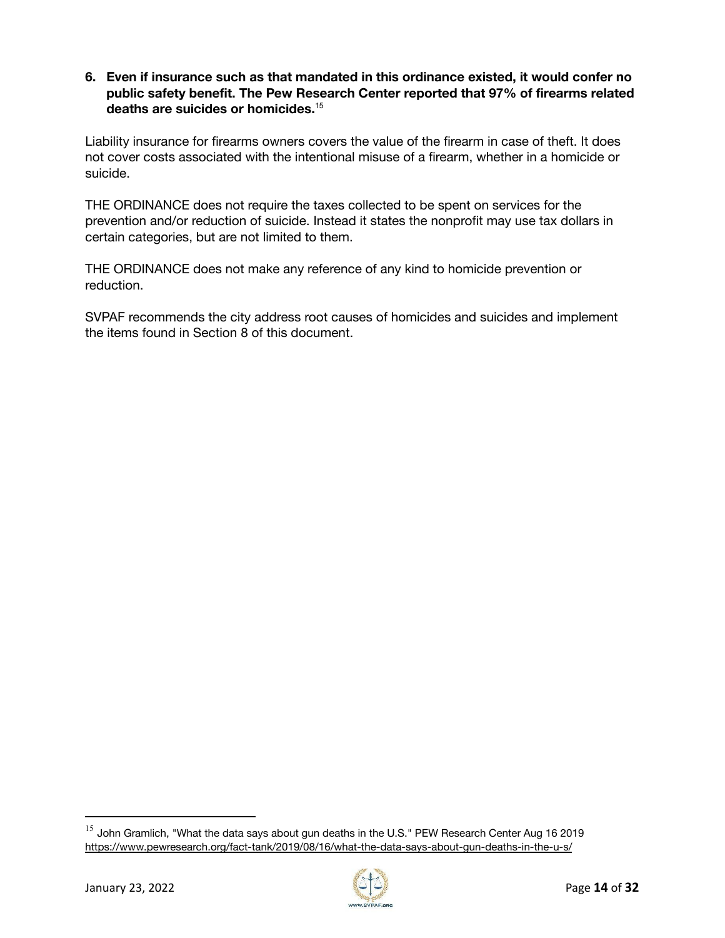#### **6. Even if insurance such as that mandated in this ordinance existed, it would confer no public safety benefit. The Pew Research Center reported that 97% of firearms related deaths are suicides or homicides.** 15

Liability insurance for firearms owners covers the value of the firearm in case of theft. It does not cover costs associated with the intentional misuse of a firearm, whether in a homicide or suicide.

THE ORDINANCE does not require the taxes collected to be spent on services for the prevention and/or reduction of suicide. Instead it states the nonprofit may use tax dollars in certain categories, but are not limited to them.

THE ORDINANCE does not make any reference of any kind to homicide prevention or reduction.

SVPAF recommends the city address root causes of homicides and suicides and implement the items found in Section 8 of this document.



 $^{15}$  John Gramlich, "What the data says about gun deaths in the U.S." PEW Research Center Aug 16 2019 https://www.pewresearch.org/fact-tank/2019/08/16/what-the-data-says-about-gun-deaths-in-the-u-s/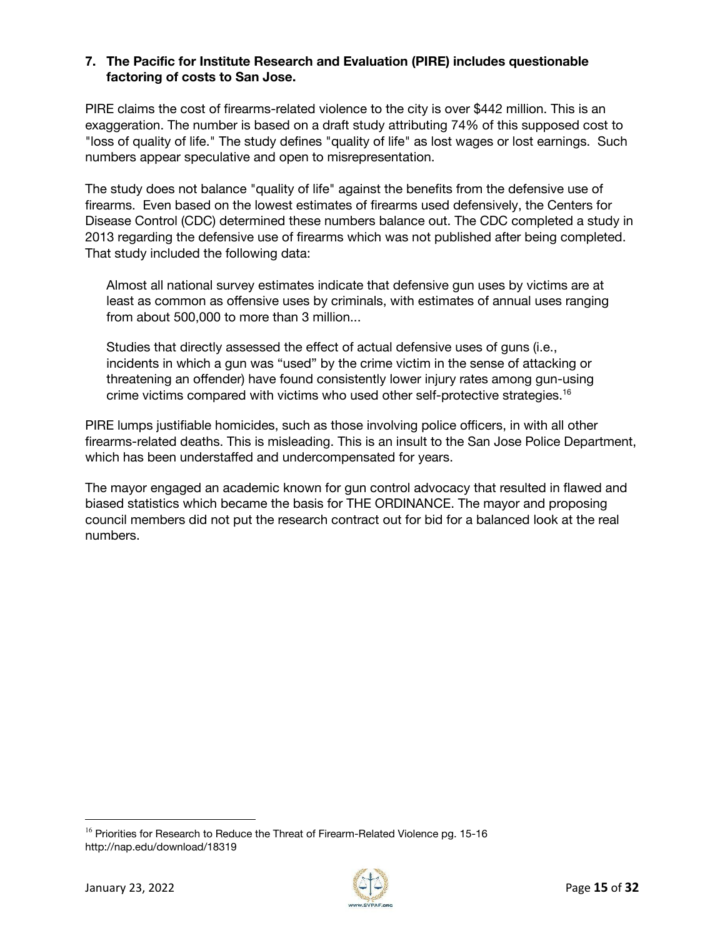#### **7. The Pacific for Institute Research and Evaluation (PIRE) includes questionable factoring of costs to San Jose.**

PIRE claims the cost of firearms-related violence to the city is over \$442 million. This is an exaggeration. The number is based on a draft study attributing 74% of this supposed cost to "loss of quality of life." The study defines "quality of life" as lost wages or lost earnings. Such numbers appear speculative and open to misrepresentation.

The study does not balance "quality of life" against the benefits from the defensive use of firearms. Even based on the lowest estimates of firearms used defensively, the Centers for Disease Control (CDC) determined these numbers balance out. The CDC completed a study in 2013 regarding the defensive use of firearms which was not published after being completed. That study included the following data:

Almost all national survey estimates indicate that defensive gun uses by victims are at least as common as offensive uses by criminals, with estimates of annual uses ranging from about 500,000 to more than 3 million...

Studies that directly assessed the effect of actual defensive uses of guns (i.e., incidents in which a gun was "used" by the crime victim in the sense of attacking or threatening an offender) have found consistently lower injury rates among gun-using crime victims compared with victims who used other self-protective strategies. 16

PIRE lumps justifiable homicides, such as those involving police officers, in with all other firearms-related deaths. This is misleading. This is an insult to the San Jose Police Department, which has been understaffed and undercompensated for years.

The mayor engaged an academic known for gun control advocacy that resulted in flawed and biased statistics which became the basis for THE ORDINANCE. The mayor and proposing council members did not put the research contract out for bid for a balanced look at the real numbers.



<sup>&</sup>lt;sup>16</sup> Priorities for Research to Reduce the Threat of Firearm-Related Violence pg. 15-16 http://nap.edu/download/18319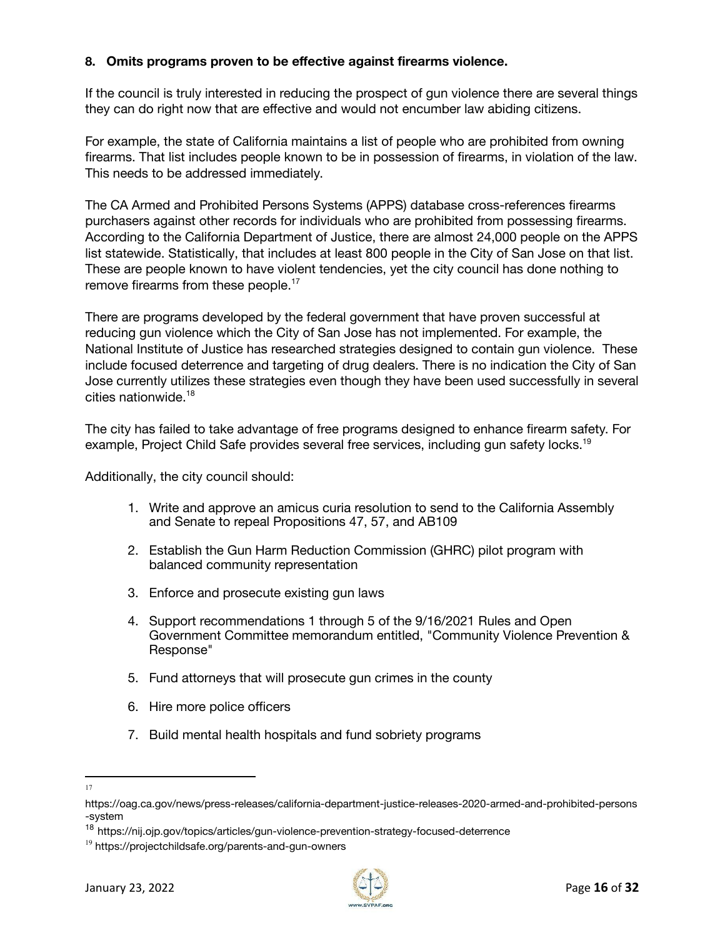#### **8. Omits programs proven to be effective against firearms violence.**

If the council is truly interested in reducing the prospect of gun violence there are several things they can do right now that are effective and would not encumber law abiding citizens.

For example, the state of California maintains a list of people who are prohibited from owning firearms. That list includes people known to be in possession of firearms, in violation of the law. This needs to be addressed immediately.

The CA Armed and Prohibited Persons Systems (APPS) database cross-references firearms purchasers against other records for individuals who are prohibited from possessing firearms. According to the California Department of Justice, there are almost 24,000 people on the APPS list statewide. Statistically, that includes at least 800 people in the City of San Jose on that list. These are people known to have violent tendencies, yet the city council has done nothing to remove firearms from these people.<sup>17</sup>

There are programs developed by the federal government that have proven successful at reducing gun violence which the City of San Jose has not implemented. For example, the National Institute of Justice has researched strategies designed to contain gun violence. These include focused deterrence and targeting of drug dealers. There is no indication the City of San Jose currently utilizes these strategies even though they have been used successfully in several cities nationwide. 18

The city has failed to take advantage of free programs designed to enhance firearm safety. For example, Project Child Safe provides several free services, including gun safety locks.<sup>19</sup>

Additionally, the city council should:

- 1. Write and approve an amicus curia resolution to send to the California Assembly and Senate to repeal Propositions 47, 57, and AB109
- 2. Establish the Gun Harm Reduction Commission (GHRC) pilot program with balanced community representation
- 3. Enforce and prosecute existing gun laws
- 4. Support recommendations 1 through 5 of the 9/16/2021 Rules and Open Government Committee memorandum entitled, "Community Violence Prevention & Response"
- 5. Fund attorneys that will prosecute gun crimes in the county
- 6. Hire more police officers
- 7. Build mental health hospitals and fund sobriety programs
- 17



[https://oag.ca.gov/news/press-releases/california-department-justice-releases-2020-armed-and-prohibited-persons](https://oag.ca.gov/news/press-releases/california-department-justice-releases-2020-armed-and-prohibited-persons-system) [-system](https://oag.ca.gov/news/press-releases/california-department-justice-releases-2020-armed-and-prohibited-persons-system)

<sup>&</sup>lt;sup>18</sup> https://nij.ojp.gov/topics/articles/gun-violence-prevention-strategy-focused-deterrence

<sup>&</sup>lt;sup>19</sup> [https://projectchildsafe.org/parents-and-gun-owners](https://projectchildsafe.org/parents-and-gun-owners/)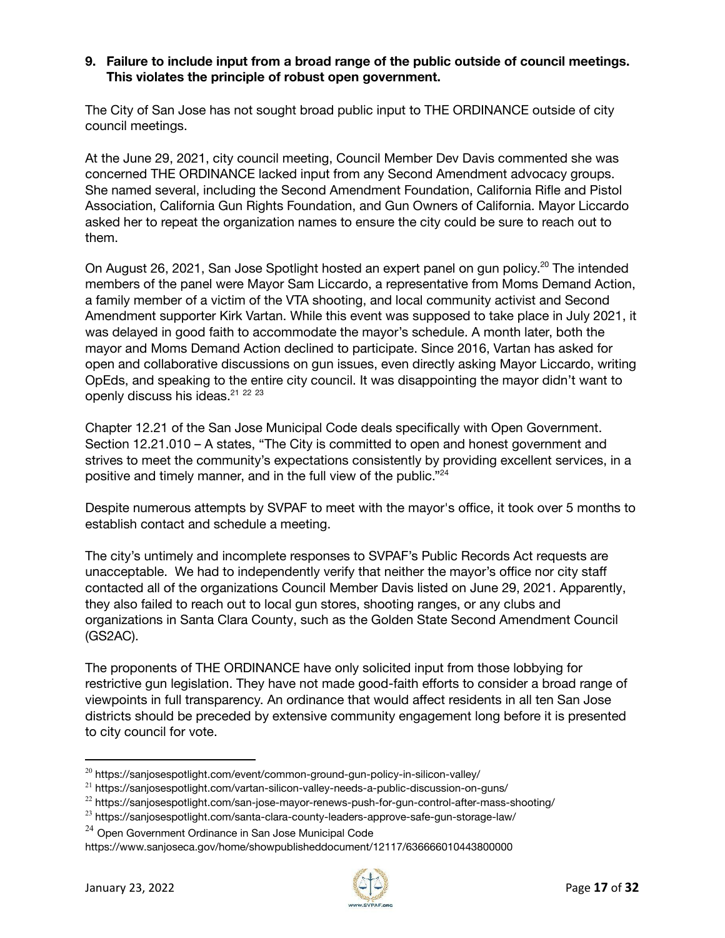#### **9. Failure to include input from a broad range of the public outside of council meetings. This violates the principle of robust open government.**

The City of San Jose has not sought broad public input to THE ORDINANCE outside of city council meetings.

At the June 29, 2021, city council meeting, Council Member Dev Davis commented she was concerned THE ORDINANCE lacked input from any Second Amendment advocacy groups. She named several, including the Second Amendment Foundation, California Rifle and Pistol Association, California Gun Rights Foundation, and Gun Owners of California. Mayor Liccardo asked her to repeat the organization names to ensure the city could be sure to reach out to them.

On August 26, 2021, San Jose Spotlight hosted an expert panel on gun policy.<sup>20</sup> The intended members of the panel were Mayor Sam Liccardo, a representative from Moms Demand Action, a family member of a victim of the VTA shooting, and local community activist and Second Amendment supporter Kirk Vartan. While this event was supposed to take place in July 2021, it was delayed in good faith to accommodate the mayor's schedule. A month later, both the mayor and Moms Demand Action declined to participate. Since 2016, Vartan has asked for open and collaborative discussions on gun issues, even directly asking Mayor Liccardo, writing OpEds, and speaking to the entire city council. It was disappointing the mayor didn't want to openly discuss his ideas.<sup>21</sup> <sup>22</sup> <sup>23</sup>

Chapter 12.21 of the San Jose Municipal Code deals specifically with Open Government. Section 12.21.010 – A states, "The City is committed to open and honest government and strives to meet the community's expectations consistently by providing excellent services, in a positive and timely manner, and in the full view of the public."<sup>24</sup>

Despite numerous attempts by SVPAF to meet with the mayor's office, it took over 5 months to establish contact and schedule a meeting.

The city's untimely and incomplete responses to SVPAF's Public Records Act requests are unacceptable. We had to independently verify that neither the mayor's office nor city staff contacted all of the organizations Council Member Davis listed on June 29, 2021. Apparently, they also failed to reach out to local gun stores, shooting ranges, or any clubs and organizations in Santa Clara County, such as the Golden State Second Amendment Council (GS2AC).

The proponents of THE ORDINANCE have only solicited input from those lobbying for restrictive gun legislation. They have not made good-faith efforts to consider a broad range of viewpoints in full transparency. An ordinance that would affect residents in all ten San Jose districts should be preceded by extensive community engagement long before it is presented to city council for vote.



 $20$  https://sanjosespotlight.com/event/common-ground-gun-policy-in-silicon-valley/

 $21$  https://sanjosespotlight.com/vartan-silicon-valley-needs-a-public-discussion-on-guns/

<sup>&</sup>lt;sup>22</sup> https://sanjosespotlight.com/san-jose-mayor-renews-push-for-gun-control-after-mass-shooting/

<sup>&</sup>lt;sup>23</sup> https://sanjosespotlight.com/santa-clara-county-leaders-approve-safe-gun-storage-law/

<sup>&</sup>lt;sup>24</sup> Open Government Ordinance in San Jose Municipal Code

<https://www.sanjoseca.gov/home/showpublisheddocument/12117/636666010443800000>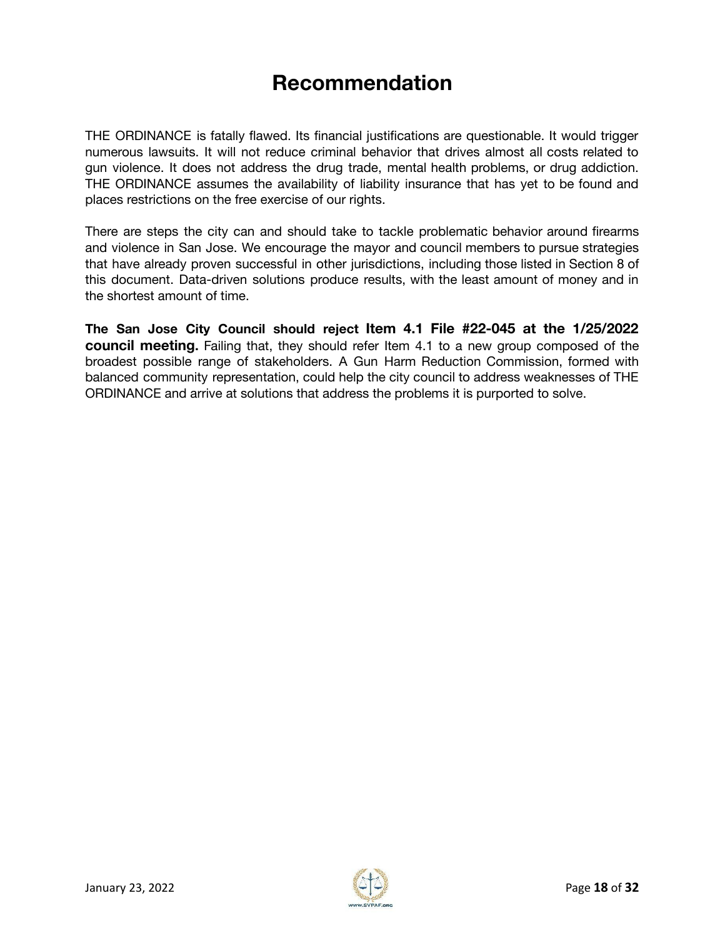# **Recommendation**

THE ORDINANCE is fatally flawed. Its financial justifications are questionable. It would trigger numerous lawsuits. It will not reduce criminal behavior that drives almost all costs related to gun violence. It does not address the drug trade, mental health problems, or drug addiction. THE ORDINANCE assumes the availability of liability insurance that has yet to be found and places restrictions on the free exercise of our rights.

There are steps the city can and should take to tackle problematic behavior around firearms and violence in San Jose. We encourage the mayor and council members to pursue strategies that have already proven successful in other jurisdictions, including those listed in Section 8 of this document. Data-driven solutions produce results, with the least amount of money and in the shortest amount of time.

**The San Jose City Council should reject Item 4.1 File #22-045 at the 1/25/2022 council meeting.** Failing that, they should refer Item 4.1 to a new group composed of the broadest possible range of stakeholders. A Gun Harm Reduction Commission, formed with balanced community representation, could help the city council to address weaknesses of THE ORDINANCE and arrive at solutions that address the problems it is purported to solve.

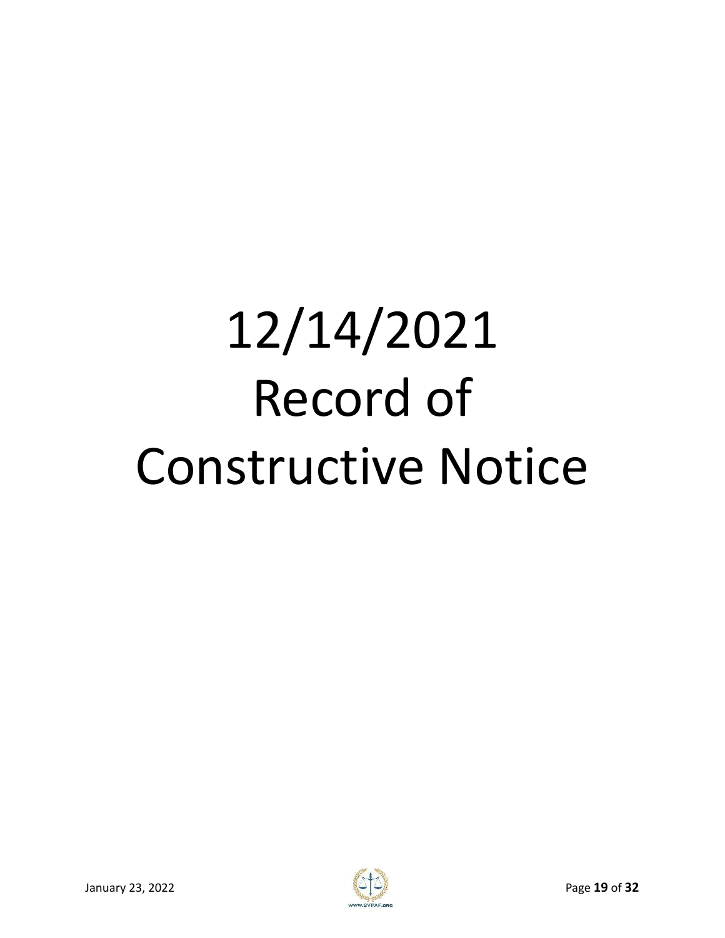# 12/14/2021 Record of Constructive Notice

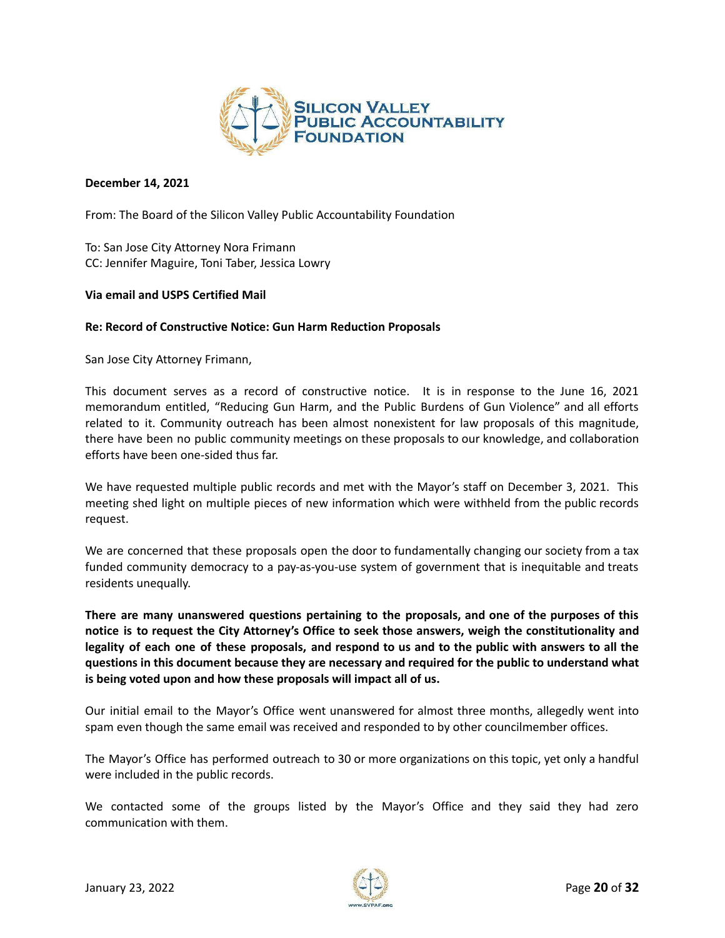

#### **December 14, 2021**

From: The Board of the Silicon Valley Public Accountability Foundation

To: San Jose City Attorney Nora Frimann CC: Jennifer Maguire, Toni Taber, Jessica Lowry

#### **Via email and USPS Certified Mail**

#### **Re: Record of Constructive Notice: Gun Harm Reduction Proposals**

San Jose City Attorney Frimann,

This document serves as a record of constructive notice. It is in response to the June 16, 2021 memorandum entitled, "Reducing Gun Harm, and the Public Burdens of Gun Violence" and all efforts related to it. Community outreach has been almost nonexistent for law proposals of this magnitude, there have been no public community meetings on these proposals to our knowledge, and collaboration efforts have been one-sided thus far.

We have requested multiple public records and met with the Mayor's staff on December 3, 2021. This meeting shed light on multiple pieces of new information which were withheld from the public records request.

We are concerned that these proposals open the door to fundamentally changing our society from a tax funded community democracy to a pay-as-you-use system of government that is inequitable and treats residents unequally.

**There are many unanswered questions pertaining to the proposals, and one of the purposes of this notice is to request the City Attorney's Office to seek those answers, weigh the constitutionality and** legality of each one of these proposals, and respond to us and to the public with answers to all the **questions in this document because they are necessary and required for the public to understand what is being voted upon and how these proposals will impact all of us.**

Our initial email to the Mayor's Office went unanswered for almost three months, allegedly went into spam even though the same email was received and responded to by other councilmember offices.

The Mayor's Office has performed outreach to 30 or more organizations on this topic, yet only a handful were included in the public records.

We contacted some of the groups listed by the Mayor's Office and they said they had zero communication with them.

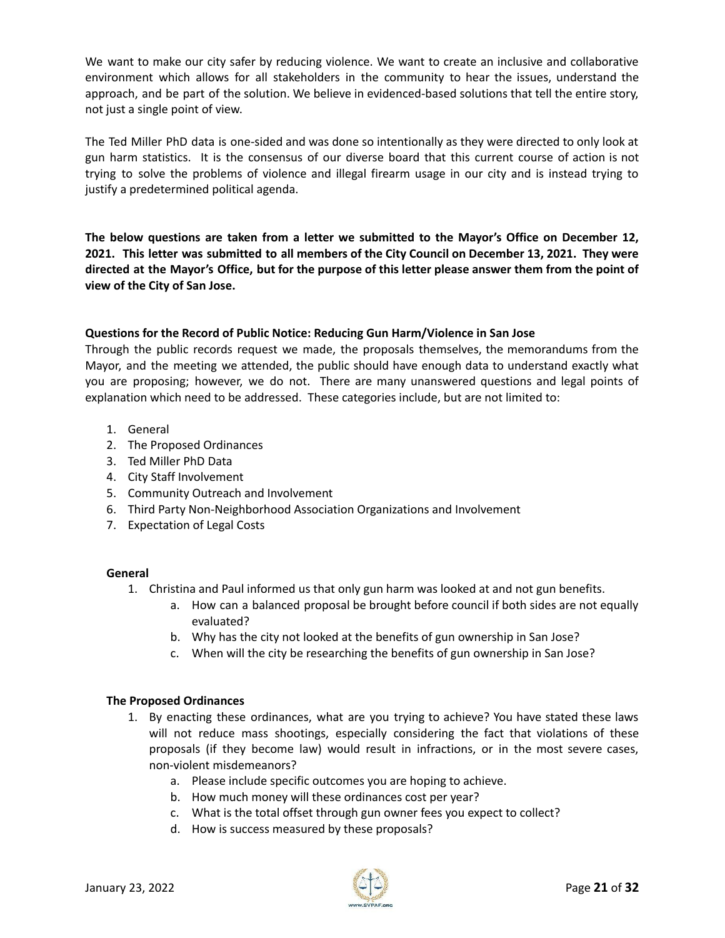We want to make our city safer by reducing violence. We want to create an inclusive and collaborative environment which allows for all stakeholders in the community to hear the issues, understand the approach, and be part of the solution. We believe in evidenced-based solutions that tell the entire story, not just a single point of view.

The Ted Miller PhD data is one-sided and was done so intentionally as they were directed to only look at gun harm statistics. It is the consensus of our diverse board that this current course of action is not trying to solve the problems of violence and illegal firearm usage in our city and is instead trying to justify a predetermined political agenda.

**The below questions are taken from a letter we submitted to the Mayor's Office on December 12, 2021. This letter was submitted to all members of the City Council on December 13, 2021. They were** directed at the Mayor's Office, but for the purpose of this letter please answer them from the point of **view of the City of San Jose.**

#### **Questions for the Record of Public Notice: Reducing Gun Harm/Violence in San Jose**

Through the public records request we made, the proposals themselves, the memorandums from the Mayor, and the meeting we attended, the public should have enough data to understand exactly what you are proposing; however, we do not. There are many unanswered questions and legal points of explanation which need to be addressed. These categories include, but are not limited to:

- 1. General
- 2. The Proposed Ordinances
- 3. Ted Miller PhD Data
- 4. City Staff Involvement
- 5. Community Outreach and Involvement
- 6. Third Party Non-Neighborhood Association Organizations and Involvement
- 7. Expectation of Legal Costs

#### **General**

- 1. Christina and Paul informed us that only gun harm was looked at and not gun benefits.
	- a. How can a balanced proposal be brought before council if both sides are not equally evaluated?
	- b. Why has the city not looked at the benefits of gun ownership in San Jose?
	- c. When will the city be researching the benefits of gun ownership in San Jose?

#### **The Proposed Ordinances**

- 1. By enacting these ordinances, what are you trying to achieve? You have stated these laws will not reduce mass shootings, especially considering the fact that violations of these proposals (if they become law) would result in infractions, or in the most severe cases, non-violent misdemeanors?
	- a. Please include specific outcomes you are hoping to achieve.
	- b. How much money will these ordinances cost per year?
	- c. What is the total offset through gun owner fees you expect to collect?
	- d. How is success measured by these proposals?

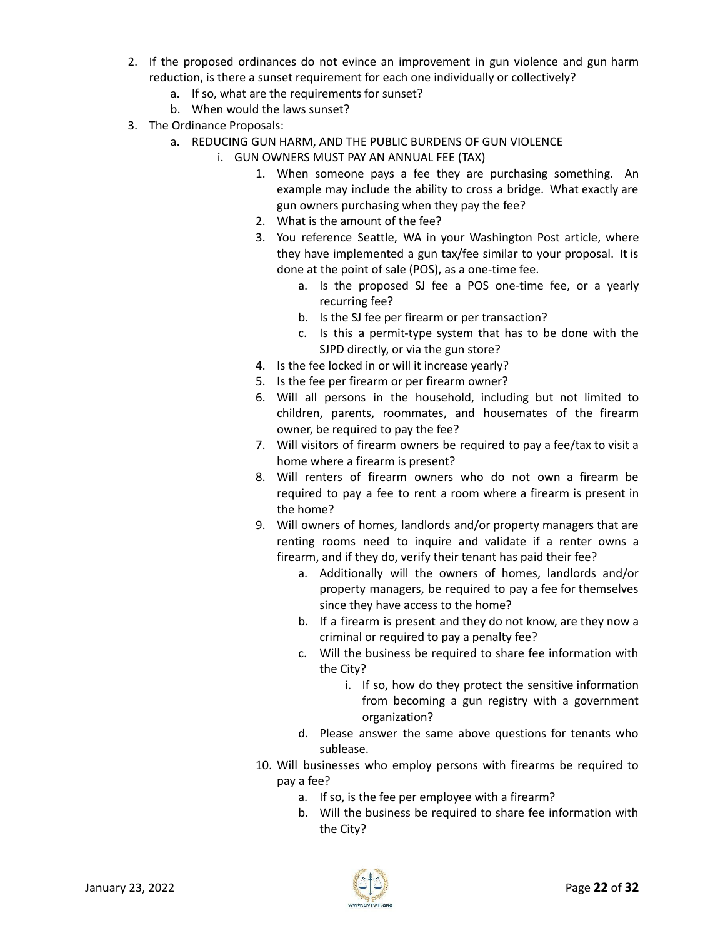- 2. If the proposed ordinances do not evince an improvement in gun violence and gun harm reduction, is there a sunset requirement for each one individually or collectively?
	- a. If so, what are the requirements for sunset?
	- b. When would the laws sunset?
- 3. The Ordinance Proposals:
	- a. REDUCING GUN HARM, AND THE PUBLIC BURDENS OF GUN VIOLENCE
		- i. GUN OWNERS MUST PAY AN ANNUAL FEE (TAX)
			- 1. When someone pays a fee they are purchasing something. An example may include the ability to cross a bridge. What exactly are gun owners purchasing when they pay the fee?
			- 2. What is the amount of the fee?
			- 3. You reference Seattle, WA in your Washington Post article, where they have implemented a gun tax/fee similar to your proposal. It is done at the point of sale (POS), as a one-time fee.
				- a. Is the proposed SJ fee a POS one-time fee, or a yearly recurring fee?
				- b. Is the SJ fee per firearm or per transaction?
				- c. Is this a permit-type system that has to be done with the SJPD directly, or via the gun store?
			- 4. Is the fee locked in or will it increase yearly?
			- 5. Is the fee per firearm or per firearm owner?
			- 6. Will all persons in the household, including but not limited to children, parents, roommates, and housemates of the firearm owner, be required to pay the fee?
			- 7. Will visitors of firearm owners be required to pay a fee/tax to visit a home where a firearm is present?
			- 8. Will renters of firearm owners who do not own a firearm be required to pay a fee to rent a room where a firearm is present in the home?
			- 9. Will owners of homes, landlords and/or property managers that are renting rooms need to inquire and validate if a renter owns a firearm, and if they do, verify their tenant has paid their fee?
				- a. Additionally will the owners of homes, landlords and/or property managers, be required to pay a fee for themselves since they have access to the home?
				- b. If a firearm is present and they do not know, are they now a criminal or required to pay a penalty fee?
				- c. Will the business be required to share fee information with the City?
					- i. If so, how do they protect the sensitive information from becoming a gun registry with a government organization?
				- d. Please answer the same above questions for tenants who sublease.
			- 10. Will businesses who employ persons with firearms be required to pay a fee?
				- a. If so, is the fee per employee with a firearm?
				- b. Will the business be required to share fee information with the City?

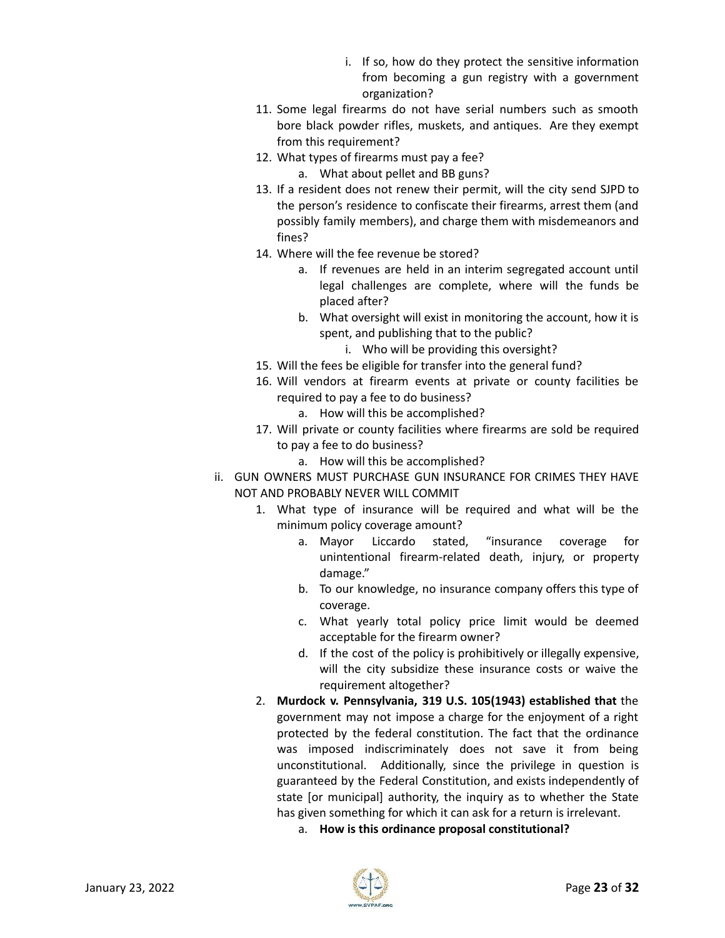- i. If so, how do they protect the sensitive information from becoming a gun registry with a government organization?
- 11. Some legal firearms do not have serial numbers such as smooth bore black powder rifles, muskets, and antiques. Are they exempt from this requirement?
- 12. What types of firearms must pay a fee?
	- a. What about pellet and BB guns?
- 13. If a resident does not renew their permit, will the city send SJPD to the person's residence to confiscate their firearms, arrest them (and possibly family members), and charge them with misdemeanors and fines?
- 14. Where will the fee revenue be stored?
	- a. If revenues are held in an interim segregated account until legal challenges are complete, where will the funds be placed after?
	- b. What oversight will exist in monitoring the account, how it is spent, and publishing that to the public?
		- i. Who will be providing this oversight?
- 15. Will the fees be eligible for transfer into the general fund?
- 16. Will vendors at firearm events at private or county facilities be required to pay a fee to do business?
	- a. How will this be accomplished?
- 17. Will private or county facilities where firearms are sold be required to pay a fee to do business?
	- a. How will this be accomplished?
- ii. GUN OWNERS MUST PURCHASE GUN INSURANCE FOR CRIMES THEY HAVE NOT AND PROBABLY NEVER WILL COMMIT
	- 1. What type of insurance will be required and what will be the minimum policy coverage amount?
		- a. Mayor Liccardo stated, "insurance coverage for unintentional firearm-related death, injury, or property damage."
		- b. To our knowledge, no insurance company offers this type of coverage.
		- c. What yearly total policy price limit would be deemed acceptable for the firearm owner?
		- d. If the cost of the policy is prohibitively or illegally expensive, will the city subsidize these insurance costs or waive the requirement altogether?
	- 2. **Murdock v. Pennsylvania, 319 U.S. 105(1943) established that** the government may not impose a charge for the enjoyment of a right protected by the federal constitution. The fact that the ordinance was imposed indiscriminately does not save it from being unconstitutional. Additionally, since the privilege in question is guaranteed by the Federal Constitution, and exists independently of state [or municipal] authority, the inquiry as to whether the State has given something for which it can ask for a return is irrelevant.
		- a. **How is this ordinance proposal constitutional?**

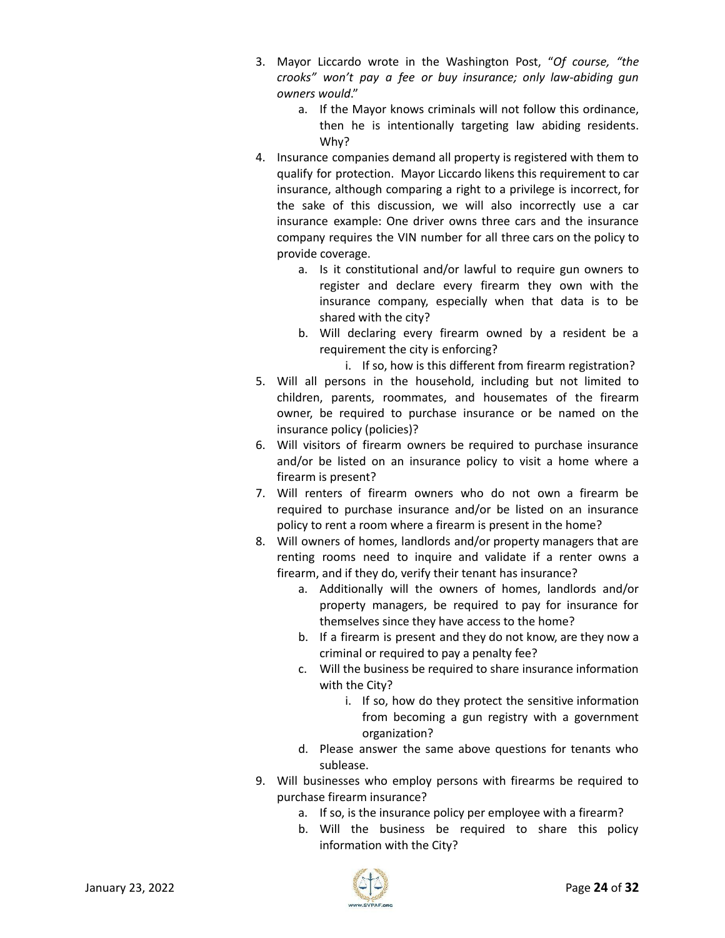- 3. Mayor Liccardo wrote in the Washington Post, "*Of course, "the crooks" won't pay a fee or buy insurance; only law-abiding gun owners would*."
	- a. If the Mayor knows criminals will not follow this ordinance, then he is intentionally targeting law abiding residents. Why?
- 4. Insurance companies demand all property is registered with them to qualify for protection. Mayor Liccardo likens this requirement to car insurance, although comparing a right to a privilege is incorrect, for the sake of this discussion, we will also incorrectly use a car insurance example: One driver owns three cars and the insurance company requires the VIN number for all three cars on the policy to provide coverage.
	- a. Is it constitutional and/or lawful to require gun owners to register and declare every firearm they own with the insurance company, especially when that data is to be shared with the city?
	- b. Will declaring every firearm owned by a resident be a requirement the city is enforcing?

i. If so, how is this different from firearm registration?

- 5. Will all persons in the household, including but not limited to children, parents, roommates, and housemates of the firearm owner, be required to purchase insurance or be named on the insurance policy (policies)?
- 6. Will visitors of firearm owners be required to purchase insurance and/or be listed on an insurance policy to visit a home where a firearm is present?
- 7. Will renters of firearm owners who do not own a firearm be required to purchase insurance and/or be listed on an insurance policy to rent a room where a firearm is present in the home?
- 8. Will owners of homes, landlords and/or property managers that are renting rooms need to inquire and validate if a renter owns a firearm, and if they do, verify their tenant has insurance?
	- a. Additionally will the owners of homes, landlords and/or property managers, be required to pay for insurance for themselves since they have access to the home?
	- b. If a firearm is present and they do not know, are they now a criminal or required to pay a penalty fee?
	- c. Will the business be required to share insurance information with the City?
		- i. If so, how do they protect the sensitive information from becoming a gun registry with a government organization?
	- d. Please answer the same above questions for tenants who sublease.
- 9. Will businesses who employ persons with firearms be required to purchase firearm insurance?
	- a. If so, is the insurance policy per employee with a firearm?
	- b. Will the business be required to share this policy information with the City?

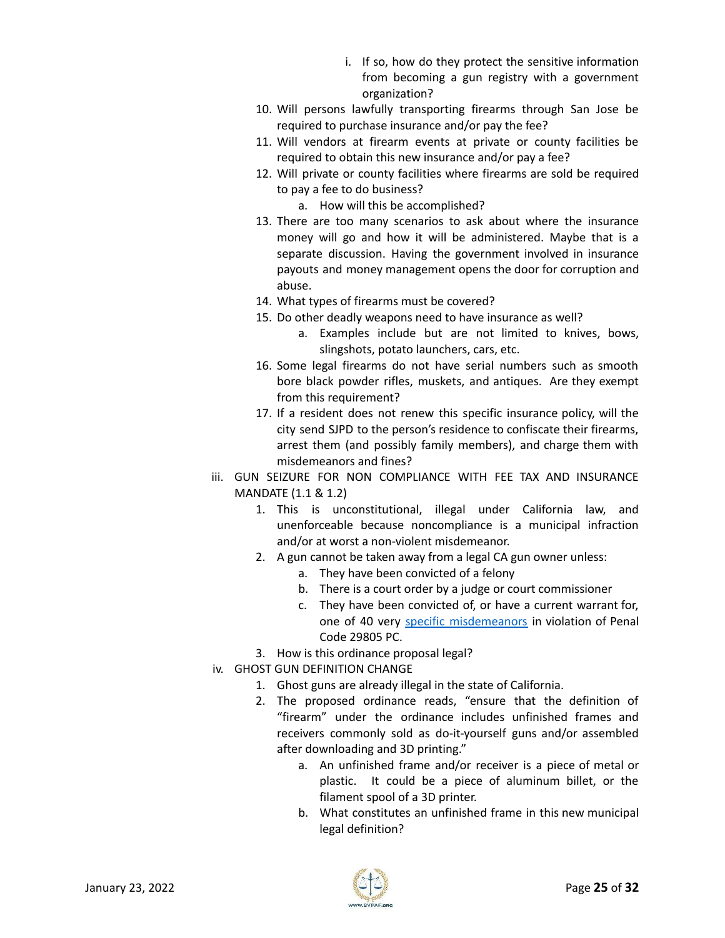- i. If so, how do they protect the sensitive information from becoming a gun registry with a government organization?
- 10. Will persons lawfully transporting firearms through San Jose be required to purchase insurance and/or pay the fee?
- 11. Will vendors at firearm events at private or county facilities be required to obtain this new insurance and/or pay a fee?
- 12. Will private or county facilities where firearms are sold be required to pay a fee to do business?
	- a. How will this be accomplished?
- 13. There are too many scenarios to ask about where the insurance money will go and how it will be administered. Maybe that is a separate discussion. Having the government involved in insurance payouts and money management opens the door for corruption and abuse.
- 14. What types of firearms must be covered?
- 15. Do other deadly weapons need to have insurance as well?
	- a. Examples include but are not limited to knives, bows, slingshots, potato launchers, cars, etc.
- 16. Some legal firearms do not have serial numbers such as smooth bore black powder rifles, muskets, and antiques. Are they exempt from this requirement?
- 17. If a resident does not renew this specific insurance policy, will the city send SJPD to the person's residence to confiscate their firearms, arrest them (and possibly family members), and charge them with misdemeanors and fines?
- iii. GUN SEIZURE FOR NON COMPLIANCE WITH FEE TAX AND INSURANCE MANDATE (1.1 & 1.2)
	- 1. This is unconstitutional, illegal under California law, and unenforceable because noncompliance is a municipal infraction and/or at worst a non-violent misdemeanor.
	- 2. A gun cannot be taken away from a legal CA gun owner unless:
		- a. They have been convicted of a felony
		- b. There is a court order by a judge or court commissioner
		- c. They have been convicted of, or have a current warrant for, one of 40 very specific [misdemeanors](https://oag.ca.gov/sites/all/files/agweb/pdfs/firearms/forms/prohibcatmisd.pdf) in violation of Penal Code 29805 PC.
	- 3. How is this ordinance proposal legal?
- iv. GHOST GUN DEFINITION CHANGE
	- 1. Ghost guns are already illegal in the state of California.
	- 2. The proposed ordinance reads, "ensure that the definition of "firearm" under the ordinance includes unfinished frames and receivers commonly sold as do-it-yourself guns and/or assembled after downloading and 3D printing."
		- a. An unfinished frame and/or receiver is a piece of metal or plastic. It could be a piece of aluminum billet, or the filament spool of a 3D printer.
		- b. What constitutes an unfinished frame in this new municipal legal definition?

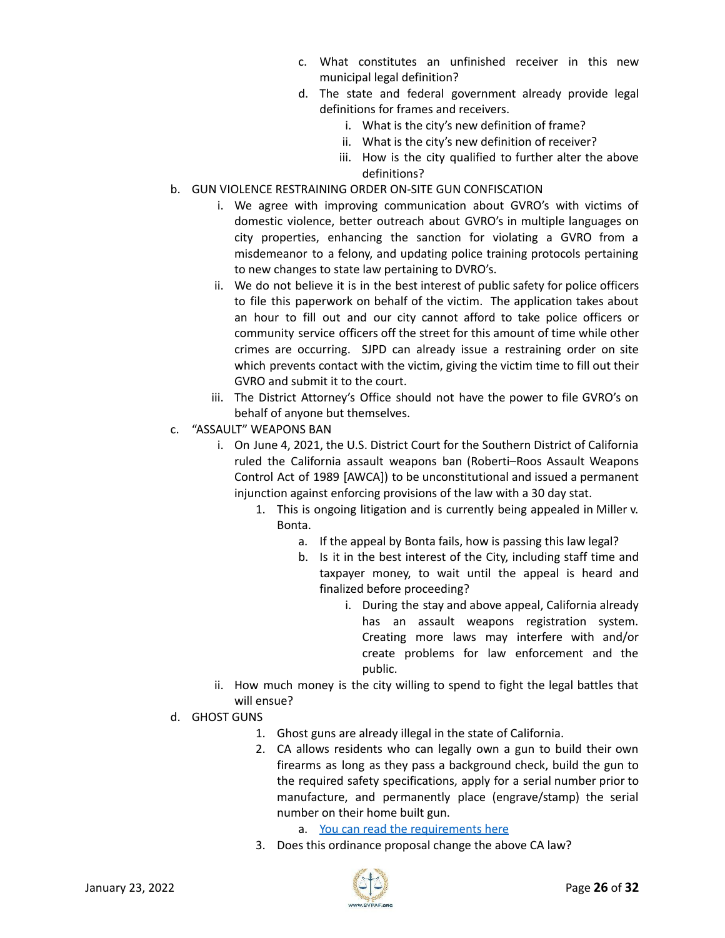- c. What constitutes an unfinished receiver in this new municipal legal definition?
- d. The state and federal government already provide legal definitions for frames and receivers.
	- i. What is the city's new definition of frame?
	- ii. What is the city's new definition of receiver?
	- iii. How is the city qualified to further alter the above definitions?
- b. GUN VIOLENCE RESTRAINING ORDER ON-SITE GUN CONFISCATION
	- i. We agree with improving communication about GVRO's with victims of domestic violence, better outreach about GVRO's in multiple languages on city properties, enhancing the sanction for violating a GVRO from a misdemeanor to a felony, and updating police training protocols pertaining to new changes to state law pertaining to DVRO's.
	- ii. We do not believe it is in the best interest of public safety for police officers to file this paperwork on behalf of the victim. The application takes about an hour to fill out and our city cannot afford to take police officers or community service officers off the street for this amount of time while other crimes are occurring. SJPD can already issue a restraining order on site which prevents contact with the victim, giving the victim time to fill out their GVRO and submit it to the court.
	- iii. The District Attorney's Office should not have the power to file GVRO's on behalf of anyone but themselves.
- c. "ASSAULT" WEAPONS BAN
	- i. On June 4, 2021, the U.S. District Court for the Southern District of California ruled the California assault weapons ban (Roberti–Roos Assault Weapons Control Act of 1989 [AWCA]) to be unconstitutional and issued a permanent injunction against enforcing provisions of the law with a 30 day stat.
		- 1. This is ongoing litigation and is currently being appealed in Miller v. Bonta.
			- a. If the appeal by Bonta fails, how is passing this law legal?
			- b. Is it in the best interest of the City, including staff time and taxpayer money, to wait until the appeal is heard and finalized before proceeding?
				- i. During the stay and above appeal, California already has an assault weapons registration system. Creating more laws may interfere with and/or create problems for law enforcement and the public.
	- ii. How much money is the city willing to spend to fight the legal battles that will ensue?
- d. GHOST GUNS
	- 1. Ghost guns are already illegal in the state of California.
	- 2. CA allows residents who can legally own a gun to build their own firearms as long as they pass a background check, build the gun to the required safety specifications, apply for a serial number prior to manufacture, and permanently place (engrave/stamp) the serial number on their home built gun.
		- a. You can read the [requirements](https://oag.ca.gov/system/files/attachments/press-docs/consumer-alert.pdf) here
	- 3. Does this ordinance proposal change the above CA law?

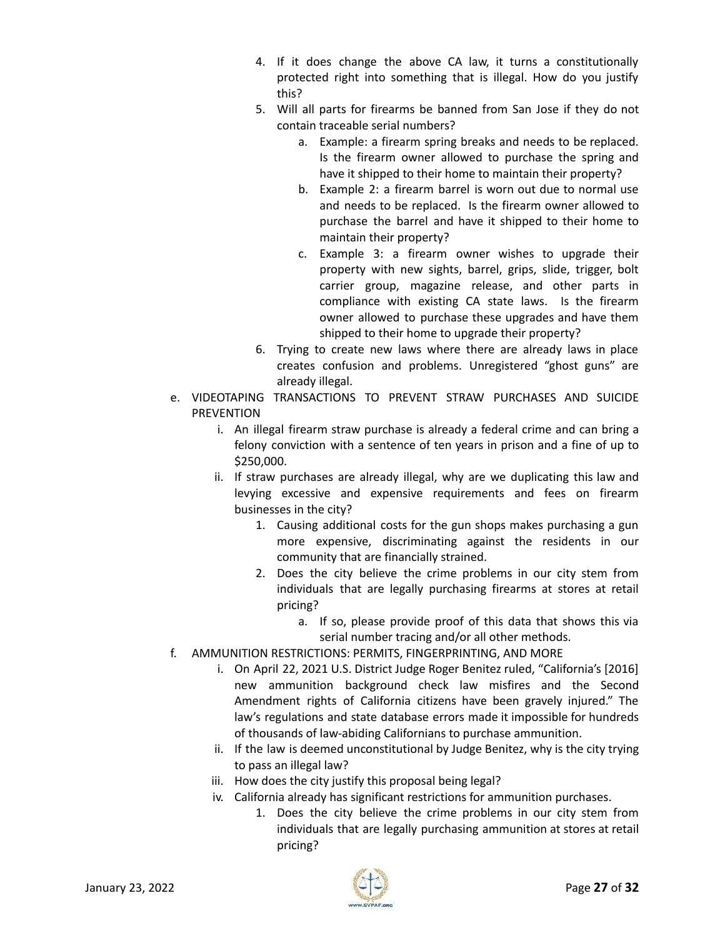- 4. If it does change the above CA law, it turns a constitutionally protected right into something that is illegal. How do you justify this?
- 5. Will all parts for firearms be banned from San Jose if they do not contain traceable serial numbers?
	- a. Example: a firearm spring breaks and needs to be replaced. Is the firearm owner allowed to purchase the spring and have it shipped to their home to maintain their property?
	- b. Example 2: a firearm barrel is worn out due to normal use and needs to be replaced. Is the firearm owner allowed to purchase the barrel and have it shipped to their home to maintain their property?
	- c. Example 3: a firearm owner wishes to upgrade their property with new sights, barrel, grips, slide, trigger, bolt carrier group, magazine release, and other parts in compliance with existing CA state laws. Is the firearm owner allowed to purchase these upgrades and have them shipped to their home to upgrade their property?
- 6. Trying to create new laws where there are already laws in place creates confusion and problems. Unregistered "ghost guns" are already illegal.
- e. VIDEOTAPING TRANSACTIONS TO PREVENT STRAW PURCHASES AND SUICIDE PREVENTION
	- i. An illegal firearm straw purchase is already a federal crime and can bring a felony conviction with a sentence of ten years in prison and a fine of up to \$250,000.
	- ii. If straw purchases are already illegal, why are we duplicating this law and levying excessive and expensive requirements and fees on firearm businesses in the city?
		- 1. Causing additional costs for the gun shops makes purchasing a gun more expensive, discriminating against the residents in our community that are financially strained.
		- 2. Does the city believe the crime problems in our city stem from individuals that are legally purchasing firearms at stores at retail pricing?
			- a. If so, please provide proof of this data that shows this via serial number tracing and/or all other methods.
- f. AMMUNITION RESTRICTIONS: PERMITS, FINGERPRINTING, AND MORE
	- i. On April 22, 2021 U.S. District Judge Roger Benitez ruled, "California's [2016] new ammunition background check law misfires and the Second Amendment rights of California citizens have been gravely injured." The law's regulations and state database errors made it impossible for hundreds of thousands of law-abiding Californians to purchase ammunition.
	- ii. If the law is deemed unconstitutional by Judge Benitez, why is the city trying to pass an illegal law?
	- iii. How does the city justify this proposal being legal?
	- iv. California already has significant restrictions for ammunition purchases.
		- 1. Does the city believe the crime problems in our city stem from individuals that are legally purchasing ammunition at stores at retail pricing?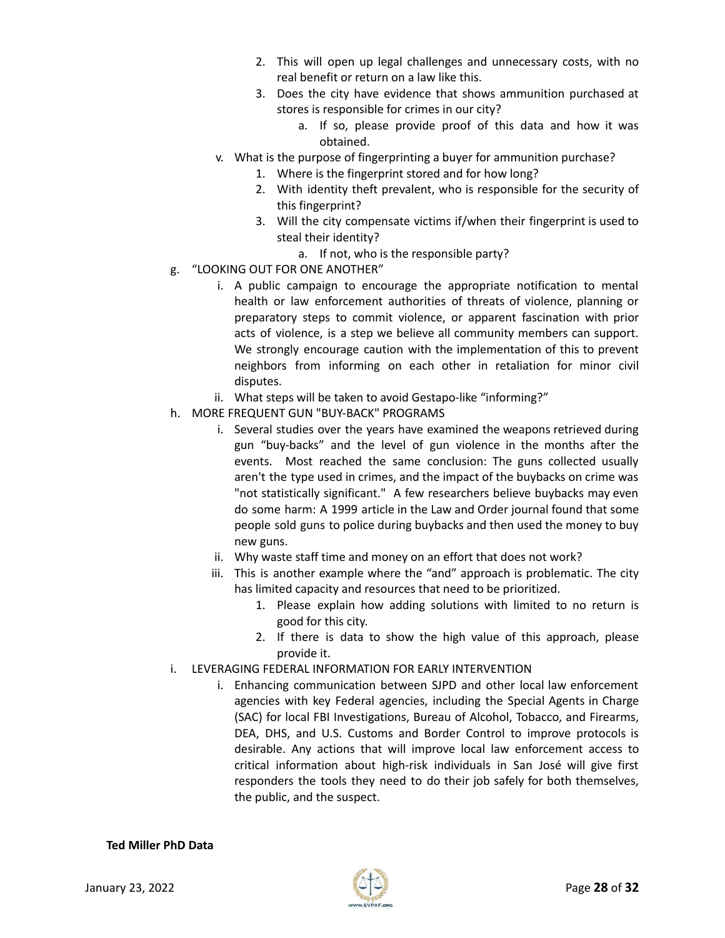- 2. This will open up legal challenges and unnecessary costs, with no real benefit or return on a law like this.
- 3. Does the city have evidence that shows ammunition purchased at stores is responsible for crimes in our city?
	- a. If so, please provide proof of this data and how it was obtained.
- v. What is the purpose of fingerprinting a buyer for ammunition purchase?
	- 1. Where is the fingerprint stored and for how long?
	- 2. With identity theft prevalent, who is responsible for the security of this fingerprint?
	- 3. Will the city compensate victims if/when their fingerprint is used to steal their identity?
		- a. If not, who is the responsible party?
- g. "LOOKING OUT FOR ONE ANOTHER"
	- i. A public campaign to encourage the appropriate notification to mental health or law enforcement authorities of threats of violence, planning or preparatory steps to commit violence, or apparent fascination with prior acts of violence, is a step we believe all community members can support. We strongly encourage caution with the implementation of this to prevent neighbors from informing on each other in retaliation for minor civil disputes.
	- ii. What steps will be taken to avoid Gestapo-like "informing?"
- h. MORE FREQUENT GUN "BUY-BACK" PROGRAMS
	- i. Several studies over the years have examined the weapons retrieved during gun "buy-backs" and the level of gun violence in the months after the events. Most reached the same conclusion: The guns collected usually aren't the type used in crimes, and the impact of the buybacks on crime was "not statistically significant." A few researchers believe buybacks may even do some harm: A 1999 article in the Law and Order journal found that some people sold guns to police during buybacks and then used the money to buy new guns.
	- ii. Why waste staff time and money on an effort that does not work?
	- iii. This is another example where the "and" approach is problematic. The city has limited capacity and resources that need to be prioritized.
		- 1. Please explain how adding solutions with limited to no return is good for this city.
		- 2. If there is data to show the high value of this approach, please provide it.
- i. LEVERAGING FEDERAL INFORMATION FOR EARLY INTERVENTION
	- i. Enhancing communication between SJPD and other local law enforcement agencies with key Federal agencies, including the Special Agents in Charge (SAC) for local FBI Investigations, Bureau of Alcohol, Tobacco, and Firearms, DEA, DHS, and U.S. Customs and Border Control to improve protocols is desirable. Any actions that will improve local law enforcement access to critical information about high-risk individuals in San José will give first responders the tools they need to do their job safely for both themselves, the public, and the suspect.

#### **Ted Miller PhD Data**

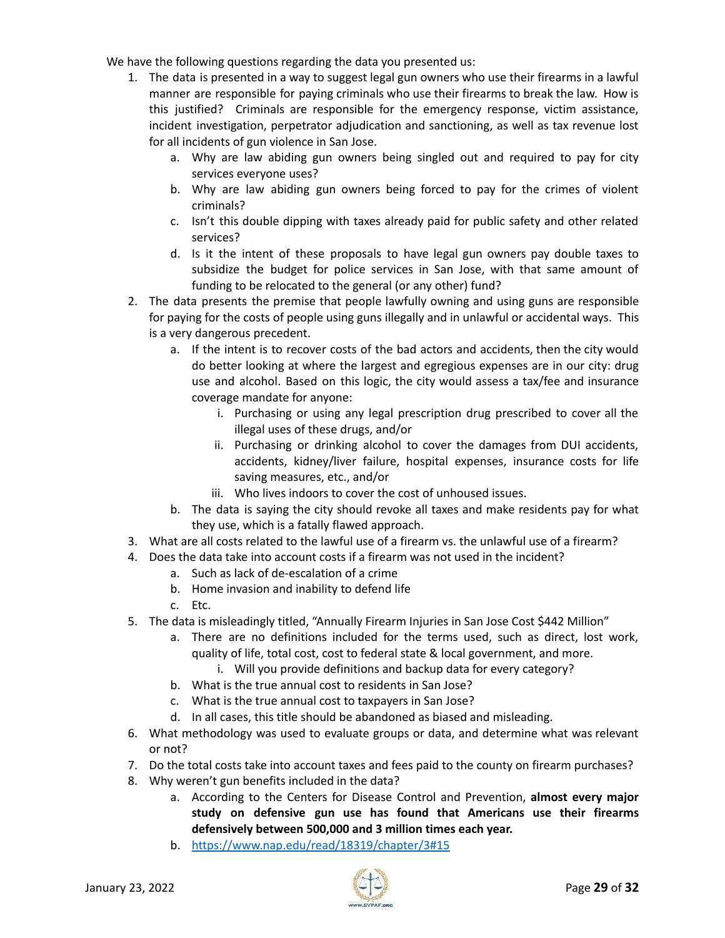We have the following questions regarding the data you presented us:

- 1. The data is presented in a way to suggest legal gun owners who use their firearms in a lawful manner are responsible for paying criminals who use their firearms to break the law. How is this justified? Criminals are responsible for the emergency response, victim assistance, incident investigation, perpetrator adjudication and sanctioning, as well as tax revenue lost for all incidents of gun violence in San Jose.
	- a. Why are law abiding gun owners being singled out and required to pay for city services everyone uses?
	- b. Why are law abiding gun owners being forced to pay for the crimes of violent criminals?
	- c. Isn't this double dipping with taxes already paid for public safety and other related services?
	- d. Is it the intent of these proposals to have legal gun owners pay double taxes to subsidize the budget for police services in San Jose, with that same amount of funding to be relocated to the general (or any other) fund?
- 2. The data presents the premise that people lawfully owning and using guns are responsible for paying for the costs of people using guns illegally and in unlawful or accidental ways. This is a very dangerous precedent.
	- a. If the intent is to recover costs of the bad actors and accidents, then the city would do better looking at where the largest and egregious expenses are in our city: drug use and alcohol. Based on this logic, the city would assess a tax/fee and insurance coverage mandate for anyone:
		- i. Purchasing or using any legal prescription drug prescribed to cover all the illegal uses of these drugs, and/or
		- ii. Purchasing or drinking alcohol to cover the damages from DUI accidents, accidents, kidney/liver failure, hospital expenses, insurance costs for life saving measures, etc., and/or
		- iii. Who lives indoors to cover the cost of unhoused issues.
	- b. The data is saying the city should revoke all taxes and make residents pay for what they use, which is a fatally flawed approach.
- 3. What are all costs related to the lawful use of a firearm vs. the unlawful use of a firearm?
- 4. Does the data take into account costs if a firearm was not used in the incident?
	- a. Such as lack of de-escalation of a crime
	- b. Home invasion and inability to defend life
	- c. Etc.
- 5. The data is misleadingly titled, "Annually Firearm Injuries in San Jose Cost \$442 Million"
	- a. There are no definitions included for the terms used, such as direct, lost work, quality of life, total cost, cost to federal state & local government, and more.
		- i. Will you provide definitions and backup data for every category?
	- b. What is the true annual cost to residents in San Jose?
	- c. What is the true annual cost to taxpayers in San Jose?
	- d. In all cases, this title should be abandoned as biased and misleading.
- 6. What methodology was used to evaluate groups or data, and determine what was relevant or not?
- 7. Do the total costs take into account taxes and fees paid to the county on firearm purchases?
- 8. Why weren't gun benefits included in the data?
	- a. According to the Centers for Disease Control and Prevention, **almost every major study on defensive gun use has found that Americans use their firearms defensively between 500,000 and 3 million times each year.**
	- b. <https://www.nap.edu/read/18319/chapter/3#15>

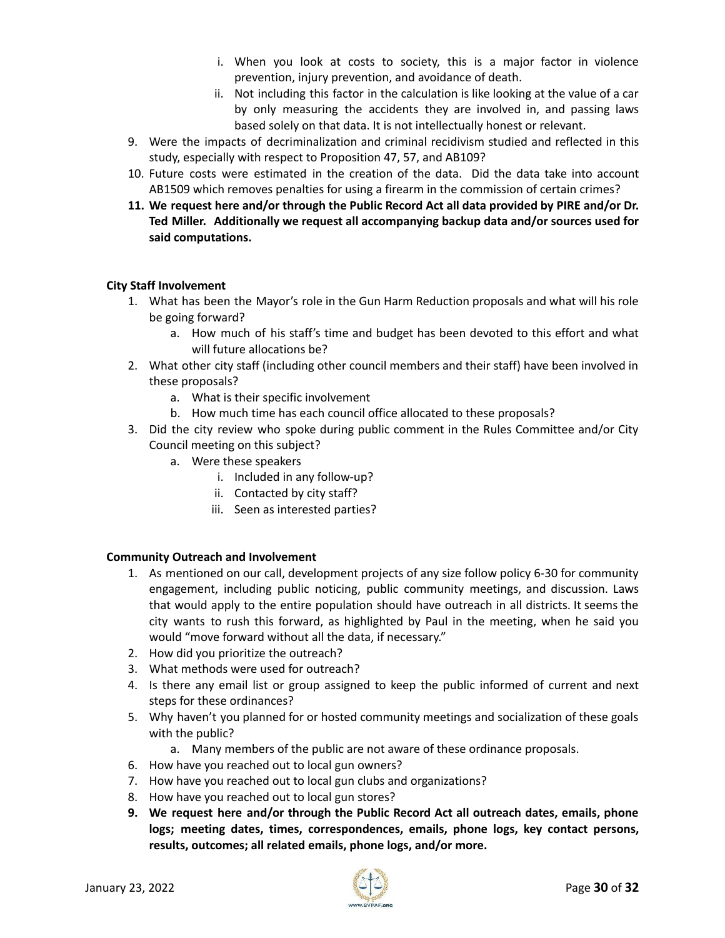- i. When you look at costs to society, this is a major factor in violence prevention, injury prevention, and avoidance of death.
- ii. Not including this factor in the calculation is like looking at the value of a car by only measuring the accidents they are involved in, and passing laws based solely on that data. It is not intellectually honest or relevant.
- 9. Were the impacts of decriminalization and criminal recidivism studied and reflected in this study, especially with respect to Proposition 47, 57, and AB109?
- 10. Future costs were estimated in the creation of the data. Did the data take into account AB1509 which removes penalties for using a firearm in the commission of certain crimes?
- **11. We request here and/or through the Public Record Act all data provided by PIRE and/or Dr. Ted Miller. Additionally we request all accompanying backup data and/or sources used for said computations.**

#### **City Staff Involvement**

- 1. What has been the Mayor's role in the Gun Harm Reduction proposals and what will his role be going forward?
	- a. How much of his staff's time and budget has been devoted to this effort and what will future allocations be?
- 2. What other city staff (including other council members and their staff) have been involved in these proposals?
	- a. What is their specific involvement
	- b. How much time has each council office allocated to these proposals?
- 3. Did the city review who spoke during public comment in the Rules Committee and/or City Council meeting on this subject?
	- a. Were these speakers
		- i. Included in any follow-up?
		- ii. Contacted by city staff?
		- iii. Seen as interested parties?

#### **Community Outreach and Involvement**

- 1. As mentioned on our call, development projects of any size follow policy 6-30 for community engagement, including public noticing, public community meetings, and discussion. Laws that would apply to the entire population should have outreach in all districts. It seems the city wants to rush this forward, as highlighted by Paul in the meeting, when he said you would "move forward without all the data, if necessary."
- 2. How did you prioritize the outreach?
- 3. What methods were used for outreach?
- 4. Is there any email list or group assigned to keep the public informed of current and next steps for these ordinances?
- 5. Why haven't you planned for or hosted community meetings and socialization of these goals with the public?
	- a. Many members of the public are not aware of these ordinance proposals.
- 6. How have you reached out to local gun owners?
- 7. How have you reached out to local gun clubs and organizations?
- 8. How have you reached out to local gun stores?
- **9. We request here and/or through the Public Record Act all outreach dates, emails, phone logs; meeting dates, times, correspondences, emails, phone logs, key contact persons, results, outcomes; all related emails, phone logs, and/or more.**

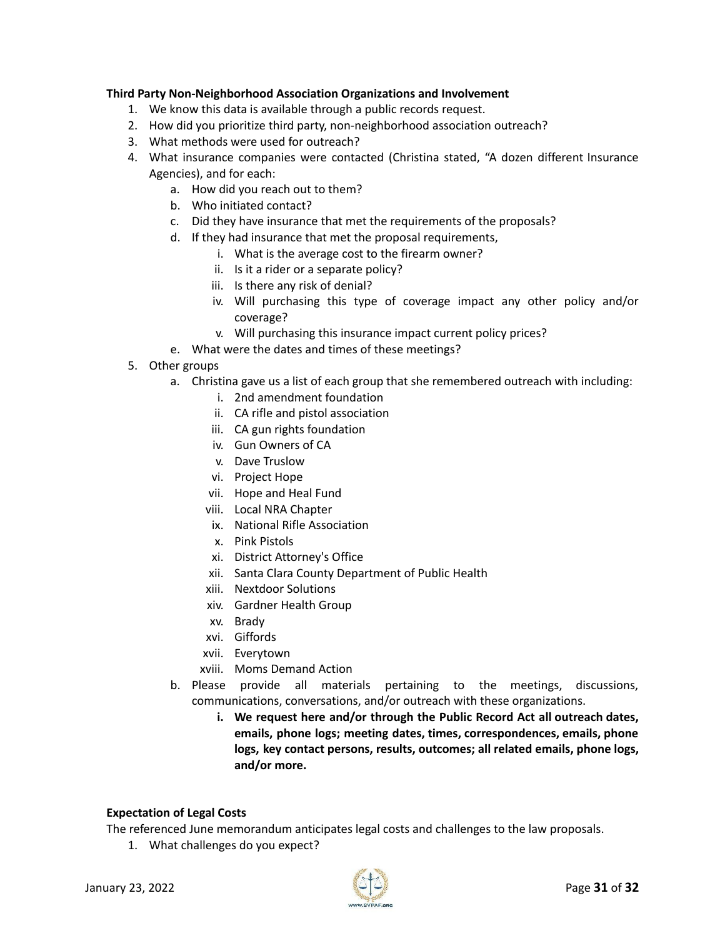#### **Third Party Non-Neighborhood Association Organizations and Involvement**

- 1. We know this data is available through a public records request.
- 2. How did you prioritize third party, non-neighborhood association outreach?
- 3. What methods were used for outreach?
- 4. What insurance companies were contacted (Christina stated, "A dozen different Insurance Agencies), and for each:
	- a. How did you reach out to them?
	- b. Who initiated contact?
	- c. Did they have insurance that met the requirements of the proposals?
	- d. If they had insurance that met the proposal requirements,
		- i. What is the average cost to the firearm owner?
		- ii. Is it a rider or a separate policy?
		- iii. Is there any risk of denial?
		- iv. Will purchasing this type of coverage impact any other policy and/or coverage?
		- v. Will purchasing this insurance impact current policy prices?
	- e. What were the dates and times of these meetings?
- 5. Other groups
	- a. Christina gave us a list of each group that she remembered outreach with including:
		- i. 2nd amendment foundation
		- ii. CA rifle and pistol association
		- iii. CA gun rights foundation
		- iv. Gun Owners of CA
		- v. Dave Truslow
		- vi. Project Hope
		- vii. Hope and Heal Fund
		- viii. Local NRA Chapter
		- ix. National Rifle Association
		- x. Pink Pistols
		- xi. District Attorney's Office
		- xii. Santa Clara County Department of Public Health
		- xiii. Nextdoor Solutions
		- xiv. Gardner Health Group
		- xv. Brady
		- xvi. Giffords
		- xvii. Everytown
		- xviii. Moms Demand Action
	- b. Please provide all materials pertaining to the meetings, discussions, communications, conversations, and/or outreach with these organizations.
		- **i. We request here and/or through the Public Record Act all outreach dates, emails, phone logs; meeting dates, times, correspondences, emails, phone logs, key contact persons, results, outcomes; all related emails, phone logs, and/or more.**

#### **Expectation of Legal Costs**

The referenced June memorandum anticipates legal costs and challenges to the law proposals.

1. What challenges do you expect?